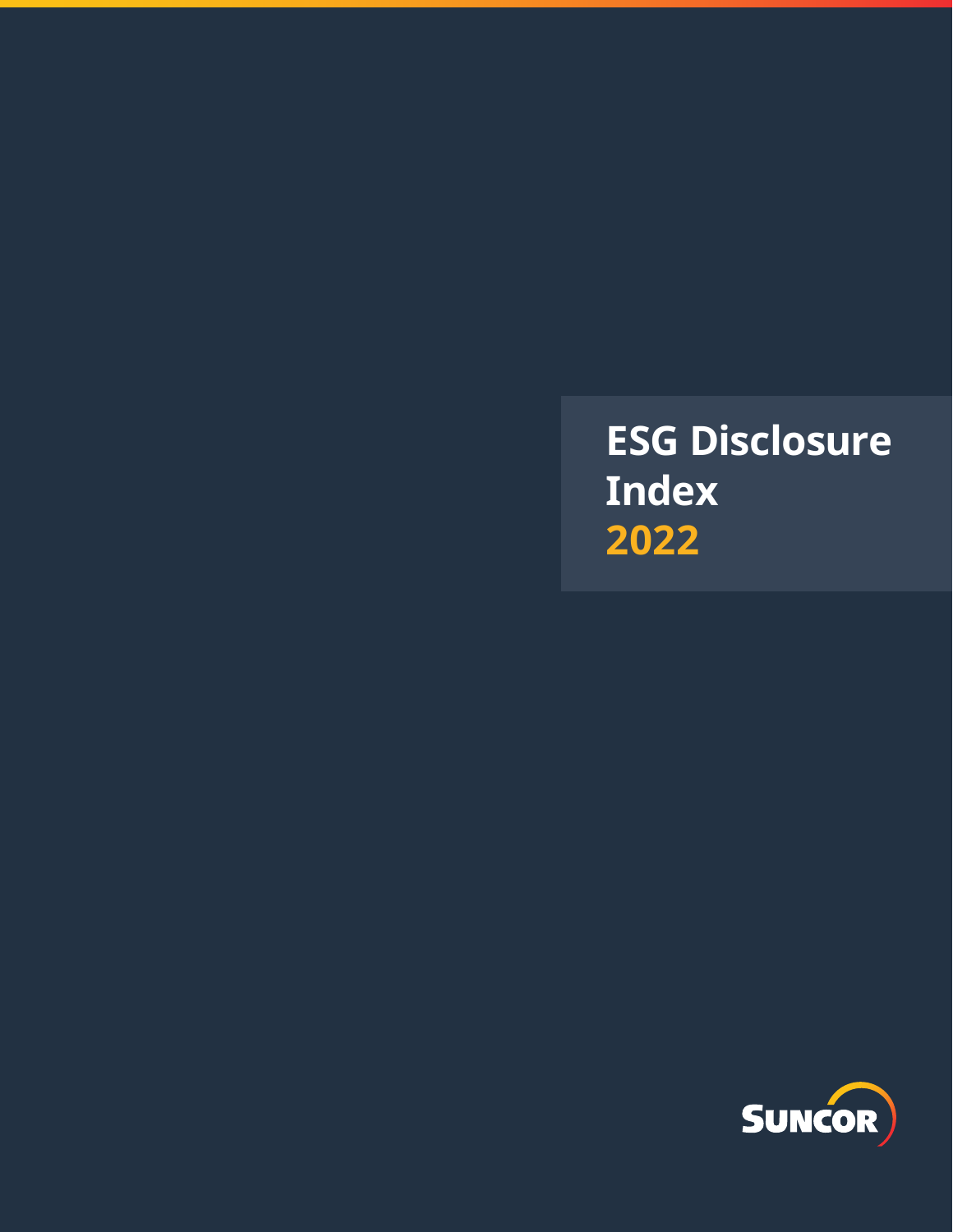**ESG Disclosure Index 2022**

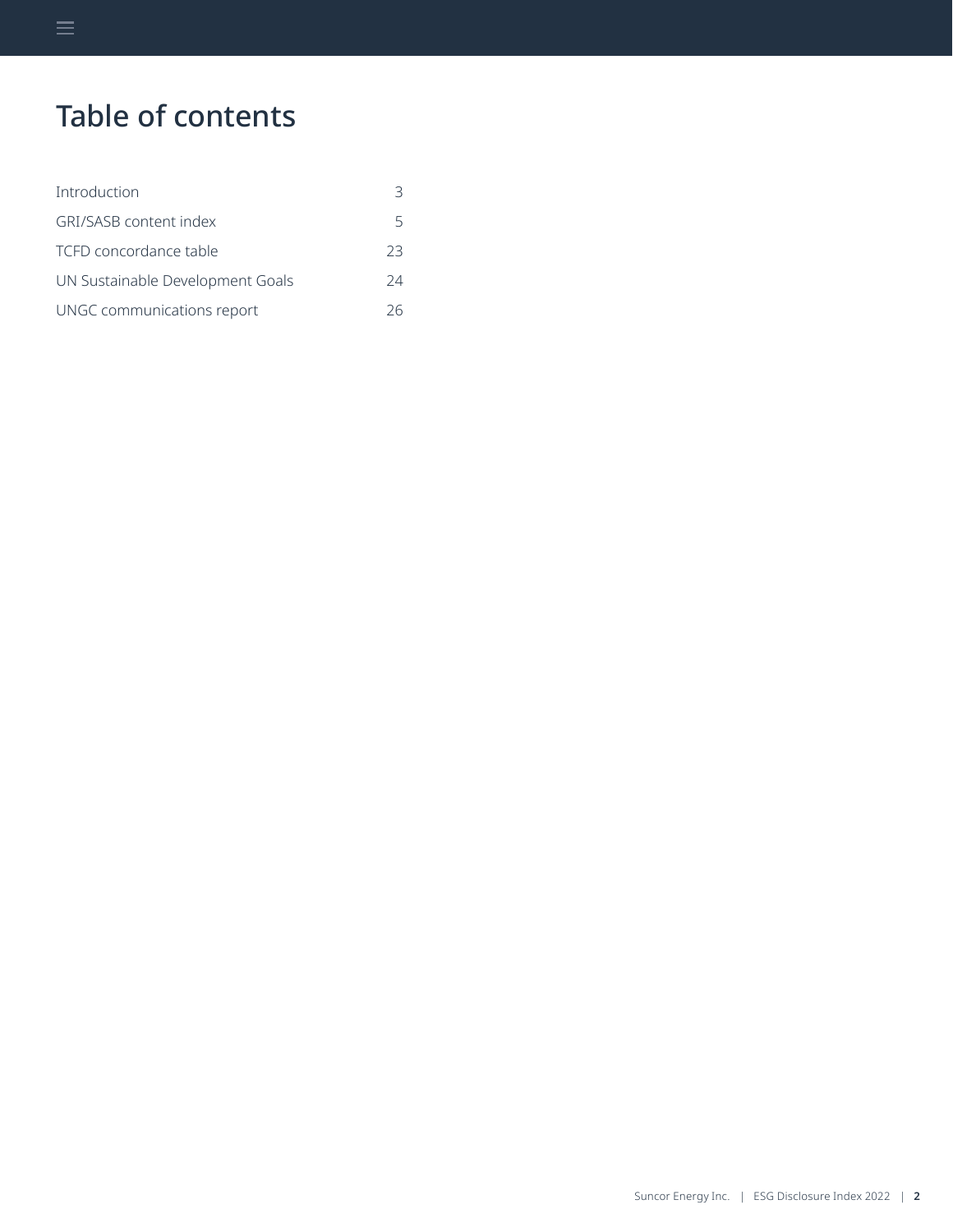# Table of contents

| Introduction                     |    |
|----------------------------------|----|
| GRI/SASB content index           | 5  |
| TCFD concordance table           | 23 |
| UN Sustainable Development Goals | 24 |
| UNGC communications report       | 26 |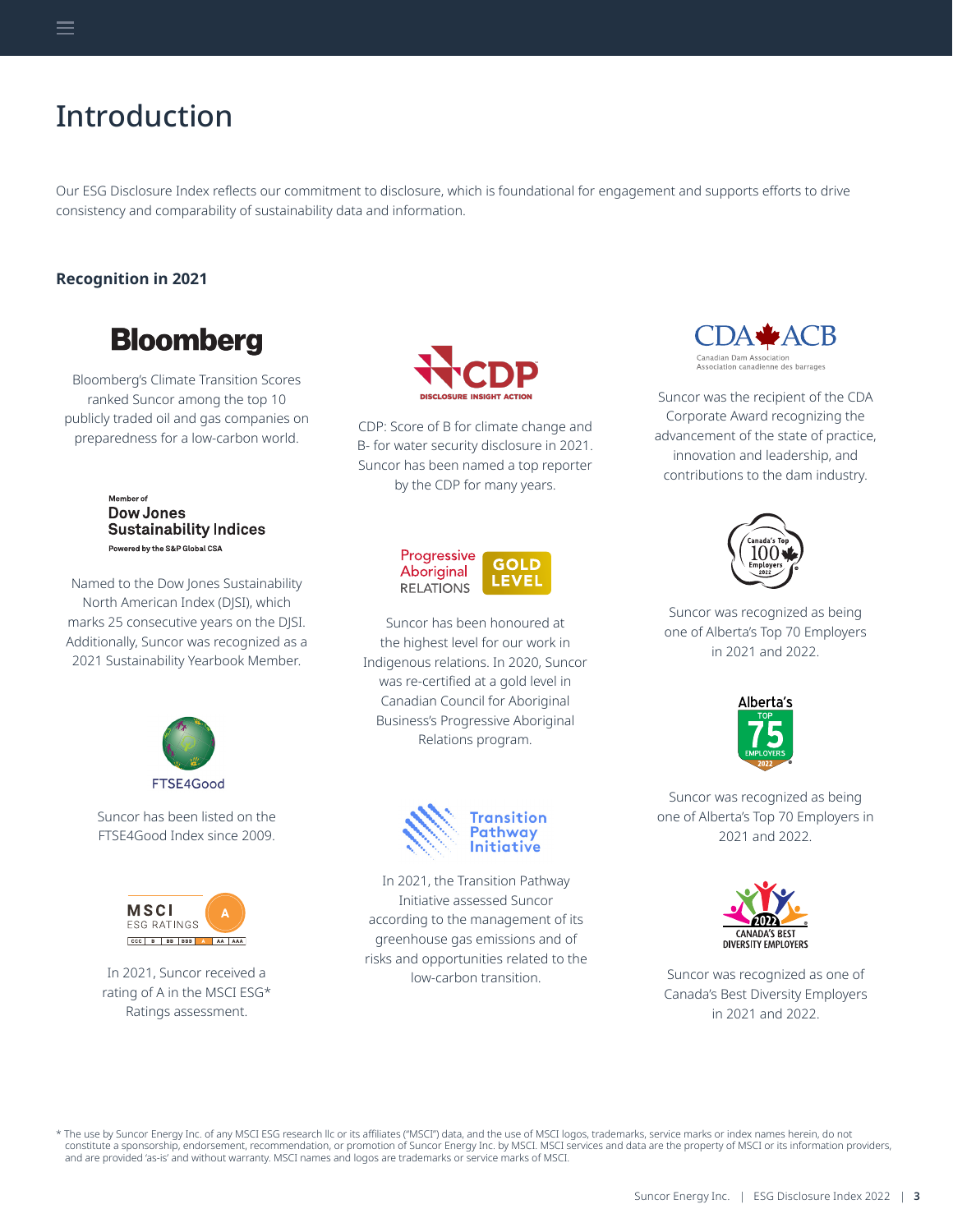# <span id="page-2-0"></span>Introduction

Our ESG Disclosure Index reflects our commitment to disclosure, which is foundational for engagement and supports efforts to drive consistency and comparability of sustainability data and information.

# **Recognition in 2021**

# **Bloomberg**

Bloomberg's Climate Transition Scores ranked Suncor among the top 10 publicly traded oil and gas companies on preparedness for a low-carbon world. CDP: Score of B for climate change and preparedness for a low-carbon world.

Member of **Dow Jones Sustainability Indices** Powered by the S&P Global CSA

Named to the Dow Jones Sustainability North American Index (DJSI), which marks 25 consecutive years on the DJSI. Additionally, Suncor was recognized as a 2021 Sustainability Yearbook Member.

> Suncor has been listed on the FTSE4Good Index since 2009.

FTSE4Good

In 2021, Suncor received a rating of A in the MSCI ESG\* Ratings assessment.

**MSCI ESG RATINGS** CCC B BB BBB A AA AAA



B- for water security disclosure in 2021. Suncor has been named a top reporter by the CDP for many years.

| Progressive<br>Aboriginal | GOLD  |
|---------------------------|-------|
| <b>RELATIONS</b>          | LEVEL |

Suncor has been honoured at the highest level for our work in Indigenous relations. In 2020, Suncor was re-certified at a gold level in Canadian Council for Aboriginal Business's Progressive Aboriginal Relations program.



In 2021, the Transition Pathway Initiative assessed Suncor according to the management of its greenhouse gas emissions and of risks and opportunities related to the low-carbon transition.



Suncor was the recipient of the CDA Corporate Award recognizing the advancement of the state of practice, innovation and leadership, and contributions to the dam industry.



Suncor was recognized as being one of Alberta's Top 70 Employers in 2021 and 2022.



Suncor was recognized as being one of Alberta's Top 70 Employers in 2021 and 2022.



Suncor was recognized as one of Canada's Best Diversity Employers in 2021 and 2022.

\* The use by Suncor Energy Inc. of any MSCI ESG research llc or its affiliates ("MSCI") data, and the use of MSCI logos, trademarks, service marks or index names herein, do not constitute a sponsorship, endorsement, recommendation, or promotion of Suncor Energy Inc. by MSCI. MSCI services and data are the property of MSCI or its information providers, and are provided 'as-is' and without warranty. MSCI names and logos are trademarks or service marks of MSCI.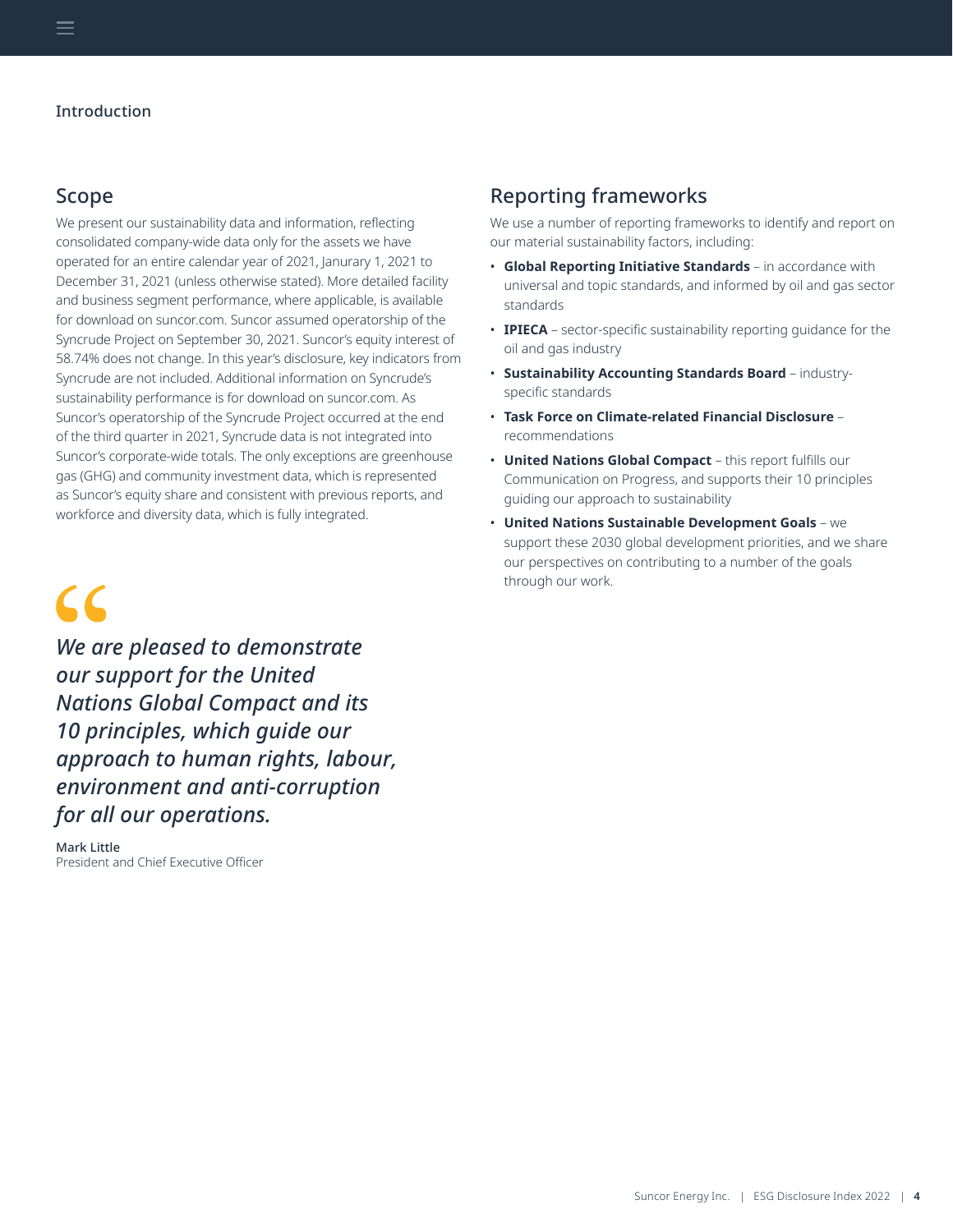# Scope

We present our sustainability data and information, reflecting consolidated company-wide data only for the assets we have operated for an entire calendar year of 2021, Janurary 1, 2021 to December 31, 2021 (unless otherwise stated). More detailed facility and business segment performance, where applicable, is available for download on suncor.com. Suncor assumed operatorship of the Syncrude Project on September 30, 2021. Suncor's equity interest of 58.74% does not change. In this year's disclosure, key indicators from Syncrude are not included. Additional information on Syncrude's sustainability performance is for download on suncor.com. As Suncor's operatorship of the Syncrude Project occurred at the end of the third quarter in 2021, Syncrude data is not integrated into Suncor's corporate-wide totals. The only exceptions are greenhouse gas (GHG) and community investment data, which is represented as Suncor's equity share and consistent with previous reports, and workforce and diversity data, which is fully integrated.

# $\epsilon$

*We are pleased to demonstrate our support for the United Nations Global Compact and its 10 principles, which guide our approach to human rights, labour, environment and anti-corruption for all our operations.*

Mark Little President and Chief Executive Officer

# Reporting frameworks

We use a number of reporting frameworks to identify and report on our material sustainability factors, including:

- **Global Reporting Initiative Standards** in accordance with universal and topic standards, and informed by oil and gas sector standards
- **IPIECA** sector-specific sustainability reporting guidance for the oil and gas industry
- **Sustainability Accounting Standards Board** industryspecific standards
- **Task Force on Climate-related Financial Disclosure** recommendations
- **United Nations Global Compact** this report fulfills our Communication on Progress, and supports their 10 principles guiding our approach to sustainability
- **United Nations Sustainable Development Goals** we support these 2030 global development priorities, and we share our perspectives on contributing to a number of the goals through our work.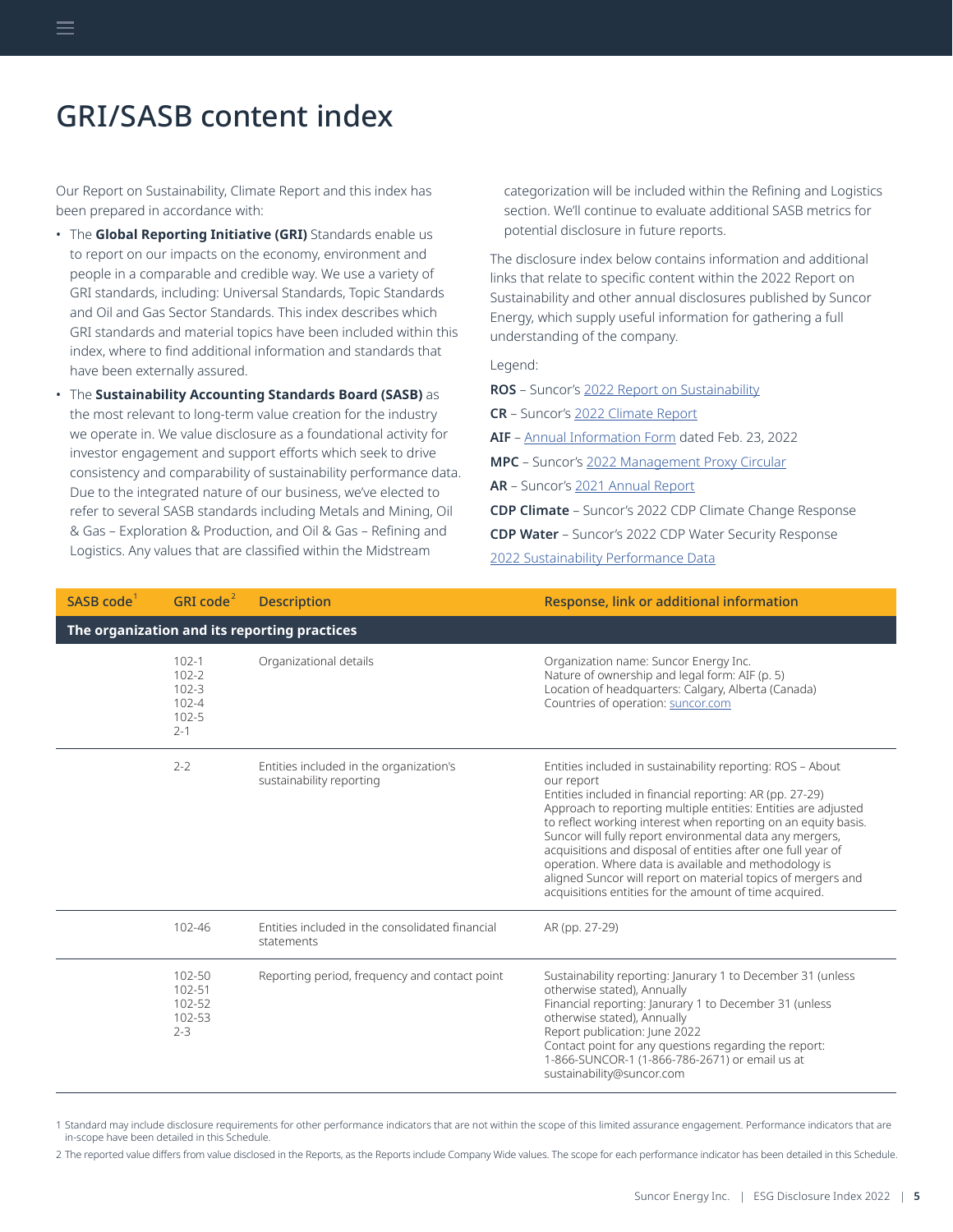<span id="page-4-0"></span>Our Report on Sustainability, Climate Report and this index has been prepared in accordance with:

- The **Global Reporting Initiative (GRI)** Standards enable us to report on our impacts on the economy, environment and people in a comparable and credible way. We use a variety of GRI standards, including: Universal Standards, Topic Standards and Oil and Gas Sector Standards. This index describes which GRI standards and material topics have been included within this index, where to find additional information and standards that have been externally assured.
- The **Sustainability Accounting Standards Board (SASB)** as the most relevant to long-term value creation for the industry we operate in. We value disclosure as a foundational activity for investor engagement and support efforts which seek to drive consistency and comparability of sustainability performance data. Due to the integrated nature of our business, we've elected to refer to several SASB standards including Metals and Mining, Oil & Gas – Exploration & Production, and Oil & Gas – Refining and Logistics. Any values that are classified within the Midstream

categorization will be included within the Refining and Logistics section. We'll continue to evaluate additional SASB metrics for potential disclosure in future reports.

The disclosure index below contains information and additional links that relate to specific content within the 2022 Report on Sustainability and other annual disclosures published by Suncor Energy, which supply useful information for gathering a full understanding of the company.

Legend:

**ROS** – Suncor's [2022 Report on Sustainability](https://www.suncor.com/-/media/7DF4D2F29A5F49E5AF5C1C29C5BF721E.pdf)

**CR** – Suncor's [2022 Climate Report](https://www.suncor.com/-/media/147BC3DF3E98469895D6C6D3081E13C6.pdf)

- **AIF** [Annual Information Form](https://sustainability-prd-cdn.suncor.com/-/media/project/suncor/files/investor-centre/annual-report-2021/2021-aif-en.pdf?modified=20220322152336&_ga=2.94803036.1718835657.1654527486-664842988.1647898358) dated Feb. 23, 2022
- **MPC** Suncor's [2022 Management Proxy Circular](https://sustainability-prd-cdn.suncor.com/-/media/project/suncor/files/investor-centre/annual-report-2021/2022-management-proxy-circular-en.pdf?modified=20220322153104&_ga=2.131978703.1718835657.1654527486-664842988.1647898358)
- **AR** Suncor's [2021 Annual Report](https://sustainability-prd-cdn.suncor.com/-/media/project/suncor/files/investor-centre/annual-report-2021/2021-annual-report-en.pdf?modified=20220322152826&_ga=2.94803036.1718835657.1654527486-664842988.1647898358)

**CDP Climate** – Suncor's 2022 CDP Climate Change Response

**CDP Water** – Suncor's 2022 CDP Water Security Response

[2022 Sustainability Performance Data](https://www.suncor.com/-/media/CA09DFAF19364987B9ED3919720A1B51.xlsx)

| SASB $code1$ | GRI code $2$                                                             | <b>Description</b>                                                  | Response, link or additional information                                                                                                                                                                                                                                                                                                                                                                                                                                                                                                                                                |  |
|--------------|--------------------------------------------------------------------------|---------------------------------------------------------------------|-----------------------------------------------------------------------------------------------------------------------------------------------------------------------------------------------------------------------------------------------------------------------------------------------------------------------------------------------------------------------------------------------------------------------------------------------------------------------------------------------------------------------------------------------------------------------------------------|--|
|              | The organization and its reporting practices                             |                                                                     |                                                                                                                                                                                                                                                                                                                                                                                                                                                                                                                                                                                         |  |
|              | $102 - 1$<br>$102 - 2$<br>$102 - 3$<br>$102 - 4$<br>$102 - 5$<br>$2 - 1$ | Organizational details                                              | Organization name: Suncor Energy Inc.<br>Nature of ownership and legal form: AIF (p. 5)<br>Location of headquarters: Calgary, Alberta (Canada)<br>Countries of operation: suncor.com                                                                                                                                                                                                                                                                                                                                                                                                    |  |
|              | $2 - 2$                                                                  | Entities included in the organization's<br>sustainability reporting | Entities included in sustainability reporting: ROS - About<br>our report<br>Entities included in financial reporting: AR (pp. 27-29)<br>Approach to reporting multiple entities: Entities are adjusted<br>to reflect working interest when reporting on an equity basis.<br>Suncor will fully report environmental data any mergers,<br>acquisitions and disposal of entities after one full year of<br>operation. Where data is available and methodology is<br>aligned Suncor will report on material topics of mergers and<br>acquisitions entities for the amount of time acquired. |  |
|              | 102-46                                                                   | Entities included in the consolidated financial<br>statements       | AR (pp. 27-29)                                                                                                                                                                                                                                                                                                                                                                                                                                                                                                                                                                          |  |
|              | 102-50<br>102-51<br>102-52<br>102-53<br>$2 - 3$                          | Reporting period, frequency and contact point                       | Sustainability reporting: Janurary 1 to December 31 (unless<br>otherwise stated), Annually<br>Financial reporting: Janurary 1 to December 31 (unless<br>otherwise stated), Annually<br>Report publication: June 2022<br>Contact point for any questions regarding the report:<br>1-866-SUNCOR-1 (1-866-786-2671) or email us at<br>sustainability@suncor.com                                                                                                                                                                                                                            |  |

1 Standard may include disclosure requirements for other performance indicators that are not within the scope of this limited assurance engagement. Performance indicators that are in-scope have been detailed in this Schedule.

2 The reported value differs from value disclosed in the Reports, as the Reports include Company Wide values. The scope for each performance indicator has been detailed in this Schedule.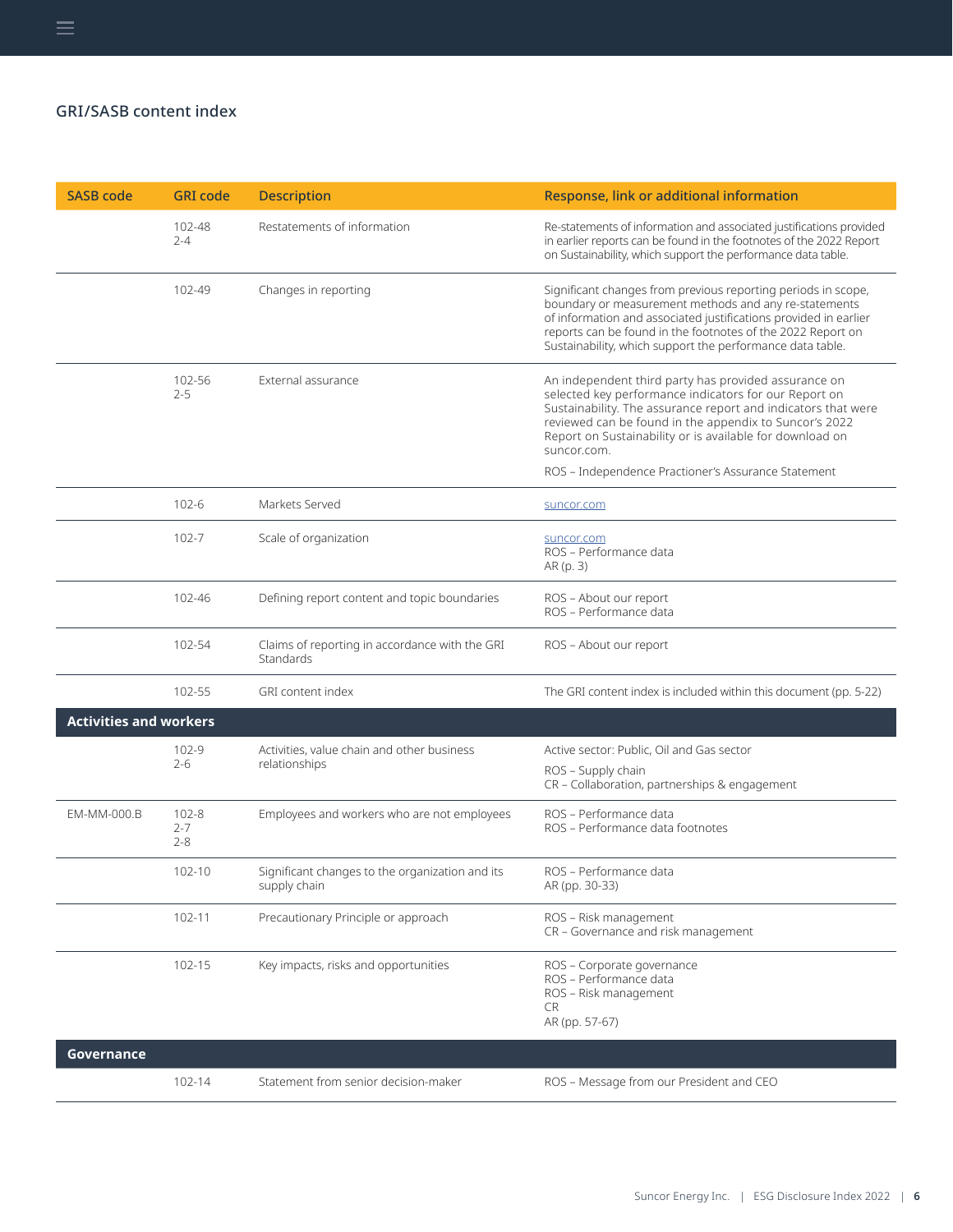| <b>SASB code</b>              | <b>GRI</b> code                 | <b>Description</b>                                              | Response, link or additional information                                                                                                                                                                                                                                                                                                                                   |
|-------------------------------|---------------------------------|-----------------------------------------------------------------|----------------------------------------------------------------------------------------------------------------------------------------------------------------------------------------------------------------------------------------------------------------------------------------------------------------------------------------------------------------------------|
|                               | 102-48<br>$2 - 4$               | Restatements of information                                     | Re-statements of information and associated justifications provided<br>in earlier reports can be found in the footnotes of the 2022 Report<br>on Sustainability, which support the performance data table.                                                                                                                                                                 |
|                               | 102-49                          | Changes in reporting                                            | Significant changes from previous reporting periods in scope,<br>boundary or measurement methods and any re-statements<br>of information and associated justifications provided in earlier<br>reports can be found in the footnotes of the 2022 Report on<br>Sustainability, which support the performance data table.                                                     |
|                               | 102-56<br>$2 - 5$               | External assurance                                              | An independent third party has provided assurance on<br>selected key performance indicators for our Report on<br>Sustainability. The assurance report and indicators that were<br>reviewed can be found in the appendix to Suncor's 2022<br>Report on Sustainability or is available for download on<br>suncor.com.<br>ROS - Independence Practioner's Assurance Statement |
|                               | 102-6                           | Markets Served                                                  | suncor.com                                                                                                                                                                                                                                                                                                                                                                 |
|                               | 102-7                           | Scale of organization                                           | suncor.com<br>ROS - Performance data<br>AR (p. 3)                                                                                                                                                                                                                                                                                                                          |
|                               | 102-46                          | Defining report content and topic boundaries                    | ROS - About our report<br>ROS - Performance data                                                                                                                                                                                                                                                                                                                           |
|                               | 102-54                          | Claims of reporting in accordance with the GRI<br>Standards     | ROS - About our report                                                                                                                                                                                                                                                                                                                                                     |
|                               | 102-55                          | GRI content index                                               | The GRI content index is included within this document (pp. 5-22)                                                                                                                                                                                                                                                                                                          |
| <b>Activities and workers</b> |                                 |                                                                 |                                                                                                                                                                                                                                                                                                                                                                            |
|                               | 102-9<br>$2 - 6$                | Activities, value chain and other business<br>relationships     | Active sector: Public, Oil and Gas sector                                                                                                                                                                                                                                                                                                                                  |
|                               |                                 |                                                                 | ROS - Supply chain<br>CR - Collaboration, partnerships & engagement                                                                                                                                                                                                                                                                                                        |
| EM-MM-000.B                   | $102 - 8$<br>$2 - 7$<br>$2 - 8$ | Employees and workers who are not employees                     | ROS - Performance data<br>ROS - Performance data footnotes                                                                                                                                                                                                                                                                                                                 |
|                               | 102-10                          | Significant changes to the organization and its<br>supply chain | ROS - Performance data<br>AR (pp. 30-33)                                                                                                                                                                                                                                                                                                                                   |
|                               | 102-11                          | Precautionary Principle or approach                             | ROS - Risk management<br>CR - Governance and risk management                                                                                                                                                                                                                                                                                                               |
|                               | 102-15                          | Key impacts, risks and opportunities                            | ROS - Corporate governance<br>ROS - Performance data<br>ROS - Risk management<br>CR<br>AR (pp. 57-67)                                                                                                                                                                                                                                                                      |
| Governance                    |                                 |                                                                 |                                                                                                                                                                                                                                                                                                                                                                            |
|                               | 102-14                          | Statement from senior decision-maker                            | ROS - Message from our President and CEO                                                                                                                                                                                                                                                                                                                                   |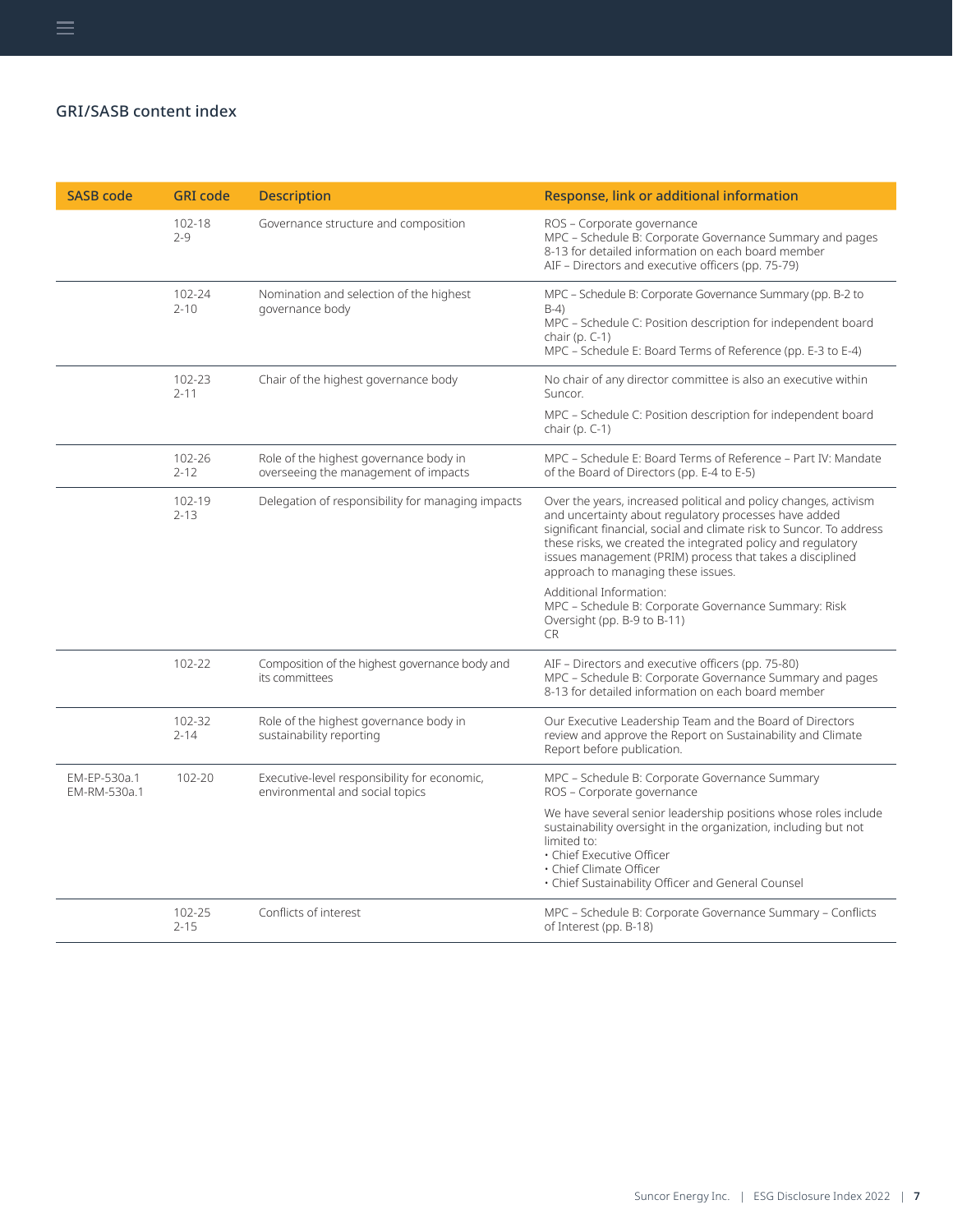| <b>SASB code</b>             | <b>GRI</b> code    | <b>Description</b>                                                              | Response, link or additional information                                                                                                                                                                                                                                                                                                                             |
|------------------------------|--------------------|---------------------------------------------------------------------------------|----------------------------------------------------------------------------------------------------------------------------------------------------------------------------------------------------------------------------------------------------------------------------------------------------------------------------------------------------------------------|
|                              | 102-18<br>$2 - 9$  | Governance structure and composition                                            | ROS - Corporate governance<br>MPC - Schedule B: Corporate Governance Summary and pages<br>8-13 for detailed information on each board member<br>AIF - Directors and executive officers (pp. 75-79)                                                                                                                                                                   |
|                              | 102-24<br>$2 - 10$ | Nomination and selection of the highest<br>governance body                      | MPC - Schedule B: Corporate Governance Summary (pp. B-2 to<br>$B-4$<br>MPC – Schedule C: Position description for independent board<br>chair (p. $C-1$ )<br>MPC – Schedule E: Board Terms of Reference (pp. E-3 to E-4)                                                                                                                                              |
|                              | 102-23<br>$2 - 11$ | Chair of the highest governance body                                            | No chair of any director committee is also an executive within<br>Suncor.                                                                                                                                                                                                                                                                                            |
|                              |                    |                                                                                 | MPC – Schedule C: Position description for independent board<br>chair (p. $C-1$ )                                                                                                                                                                                                                                                                                    |
|                              | 102-26<br>$2 - 12$ | Role of the highest governance body in<br>overseeing the management of impacts  | MPC - Schedule E: Board Terms of Reference - Part IV: Mandate<br>of the Board of Directors (pp. E-4 to E-5)                                                                                                                                                                                                                                                          |
|                              | 102-19<br>$2 - 13$ | Delegation of responsibility for managing impacts                               | Over the years, increased political and policy changes, activism<br>and uncertainty about regulatory processes have added<br>significant financial, social and climate risk to Suncor. To address<br>these risks, we created the integrated policy and regulatory<br>issues management (PRIM) process that takes a disciplined<br>approach to managing these issues. |
|                              |                    |                                                                                 | Additional Information:<br>MPC - Schedule B: Corporate Governance Summary: Risk<br>Oversight (pp. B-9 to B-11)<br><b>CR</b>                                                                                                                                                                                                                                          |
|                              | 102-22             | Composition of the highest governance body and<br>its committees                | AIF - Directors and executive officers (pp. 75-80)<br>MPC - Schedule B: Corporate Governance Summary and pages<br>8-13 for detailed information on each board member                                                                                                                                                                                                 |
|                              | 102-32<br>$2 - 14$ | Role of the highest governance body in<br>sustainability reporting              | Our Executive Leadership Team and the Board of Directors<br>review and approve the Report on Sustainability and Climate<br>Report before publication.                                                                                                                                                                                                                |
| EM-EP-530a.1<br>EM-RM-530a.1 | 102-20             | Executive-level responsibility for economic,<br>environmental and social topics | MPC - Schedule B: Corporate Governance Summary<br>ROS - Corporate governance                                                                                                                                                                                                                                                                                         |
|                              |                    |                                                                                 | We have several senior leadership positions whose roles include<br>sustainability oversight in the organization, including but not<br>limited to:<br>· Chief Executive Officer<br>· Chief Climate Officer<br>. Chief Sustainability Officer and General Counsel                                                                                                      |
|                              | 102-25<br>$2 - 15$ | Conflicts of interest                                                           | MPC - Schedule B: Corporate Governance Summary - Conflicts<br>of Interest (pp. B-18)                                                                                                                                                                                                                                                                                 |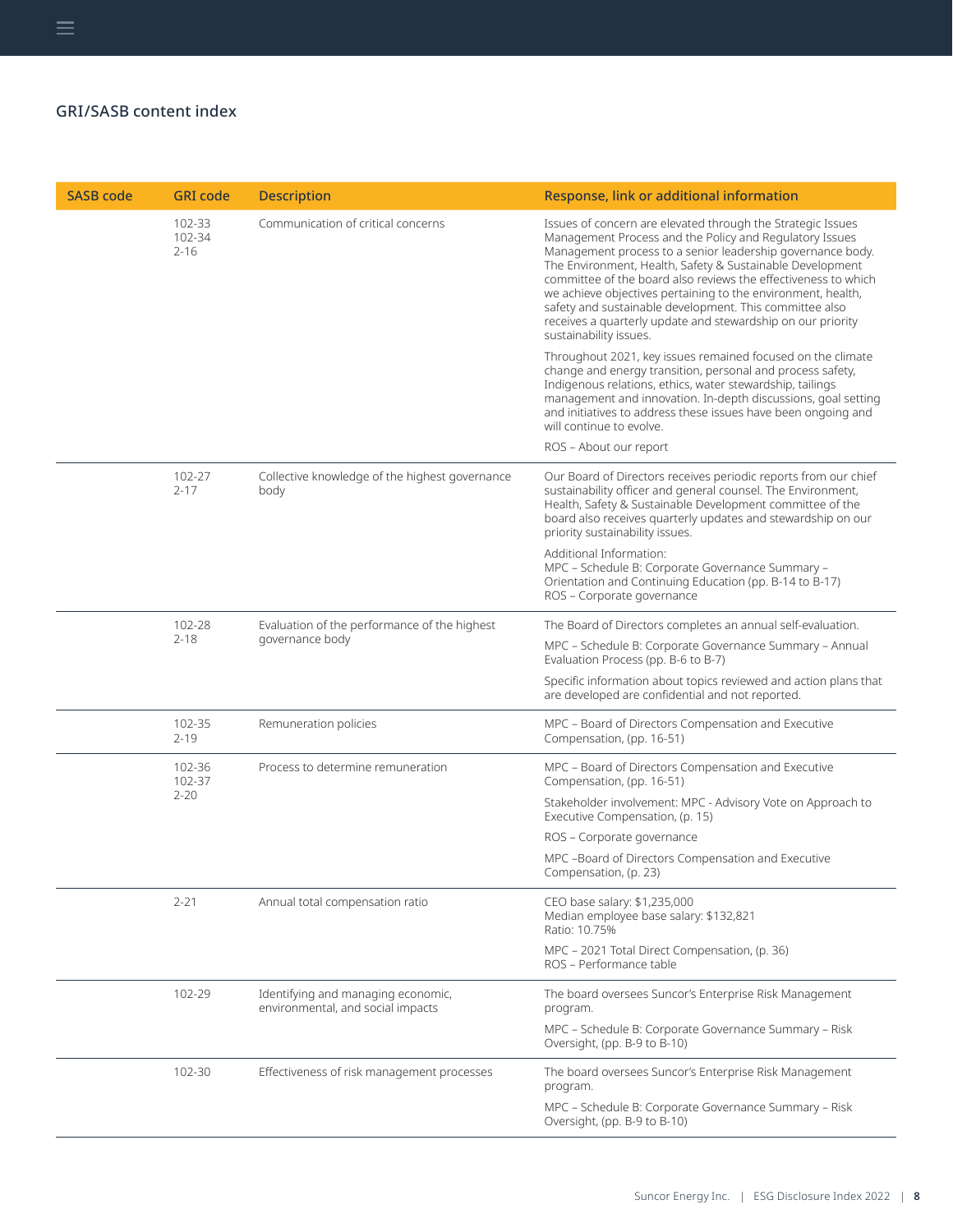| <b>SASB code</b> | <b>GRI</b> code              | <b>Description</b>                                                      | Response, link or additional information                                                                                                                                                                                                                                                                                                                                                                                                                                                                                                |
|------------------|------------------------------|-------------------------------------------------------------------------|-----------------------------------------------------------------------------------------------------------------------------------------------------------------------------------------------------------------------------------------------------------------------------------------------------------------------------------------------------------------------------------------------------------------------------------------------------------------------------------------------------------------------------------------|
|                  | 102-33<br>102-34<br>$2 - 16$ | Communication of critical concerns                                      | Issues of concern are elevated through the Strategic Issues<br>Management Process and the Policy and Regulatory Issues<br>Management process to a senior leadership governance body.<br>The Environment, Health, Safety & Sustainable Development<br>committee of the board also reviews the effectiveness to which<br>we achieve objectives pertaining to the environment, health,<br>safety and sustainable development. This committee also<br>receives a quarterly update and stewardship on our priority<br>sustainability issues. |
|                  |                              |                                                                         | Throughout 2021, key issues remained focused on the climate<br>change and energy transition, personal and process safety,<br>Indigenous relations, ethics, water stewardship, tailings<br>management and innovation. In-depth discussions, goal setting<br>and initiatives to address these issues have been ongoing and<br>will continue to evolve.                                                                                                                                                                                    |
|                  |                              |                                                                         | ROS - About our report                                                                                                                                                                                                                                                                                                                                                                                                                                                                                                                  |
|                  | 102-27<br>$2 - 17$           | Collective knowledge of the highest governance<br>body                  | Our Board of Directors receives periodic reports from our chief<br>sustainability officer and general counsel. The Environment,<br>Health, Safety & Sustainable Development committee of the<br>board also receives quarterly updates and stewardship on our<br>priority sustainability issues.                                                                                                                                                                                                                                         |
|                  |                              |                                                                         | Additional Information:<br>MPC - Schedule B: Corporate Governance Summary -<br>Orientation and Continuing Education (pp. B-14 to B-17)<br>ROS - Corporate governance                                                                                                                                                                                                                                                                                                                                                                    |
|                  | 102-28                       | Evaluation of the performance of the highest                            | The Board of Directors completes an annual self-evaluation.                                                                                                                                                                                                                                                                                                                                                                                                                                                                             |
|                  | $2 - 18$                     | governance body                                                         | MPC - Schedule B: Corporate Governance Summary - Annual<br>Evaluation Process (pp. B-6 to B-7)                                                                                                                                                                                                                                                                                                                                                                                                                                          |
|                  |                              |                                                                         | Specific information about topics reviewed and action plans that<br>are developed are confidential and not reported.                                                                                                                                                                                                                                                                                                                                                                                                                    |
|                  | 102-35<br>$2 - 19$           | Remuneration policies                                                   | MPC - Board of Directors Compensation and Executive<br>Compensation, (pp. 16-51)                                                                                                                                                                                                                                                                                                                                                                                                                                                        |
|                  | 102-36<br>102-37             | Process to determine remuneration                                       | MPC - Board of Directors Compensation and Executive<br>Compensation, (pp. 16-51)                                                                                                                                                                                                                                                                                                                                                                                                                                                        |
|                  |                              | $2 - 20$                                                                | Stakeholder involvement: MPC - Advisory Vote on Approach to<br>Executive Compensation, (p. 15)                                                                                                                                                                                                                                                                                                                                                                                                                                          |
|                  |                              |                                                                         | ROS - Corporate governance                                                                                                                                                                                                                                                                                                                                                                                                                                                                                                              |
|                  |                              |                                                                         | MPC -Board of Directors Compensation and Executive<br>Compensation, (p. 23)                                                                                                                                                                                                                                                                                                                                                                                                                                                             |
|                  | $2 - 21$                     | Annual total compensation ratio                                         | CEO base salary: \$1,235,000<br>Median employee base salary: \$132,821<br>Ratio: 10.75%                                                                                                                                                                                                                                                                                                                                                                                                                                                 |
|                  |                              |                                                                         | MPC - 2021 Total Direct Compensation, (p. 36)<br>ROS - Performance table                                                                                                                                                                                                                                                                                                                                                                                                                                                                |
|                  | 102-29                       | Identifying and managing economic,<br>environmental, and social impacts | The board oversees Suncor's Enterprise Risk Management<br>program.                                                                                                                                                                                                                                                                                                                                                                                                                                                                      |
|                  |                              |                                                                         | MPC - Schedule B: Corporate Governance Summary - Risk<br>Oversight, (pp. B-9 to B-10)                                                                                                                                                                                                                                                                                                                                                                                                                                                   |
|                  | 102-30                       | Effectiveness of risk management processes                              | The board oversees Suncor's Enterprise Risk Management<br>program.                                                                                                                                                                                                                                                                                                                                                                                                                                                                      |
|                  |                              |                                                                         | MPC - Schedule B: Corporate Governance Summary - Risk<br>Oversight, (pp. B-9 to B-10)                                                                                                                                                                                                                                                                                                                                                                                                                                                   |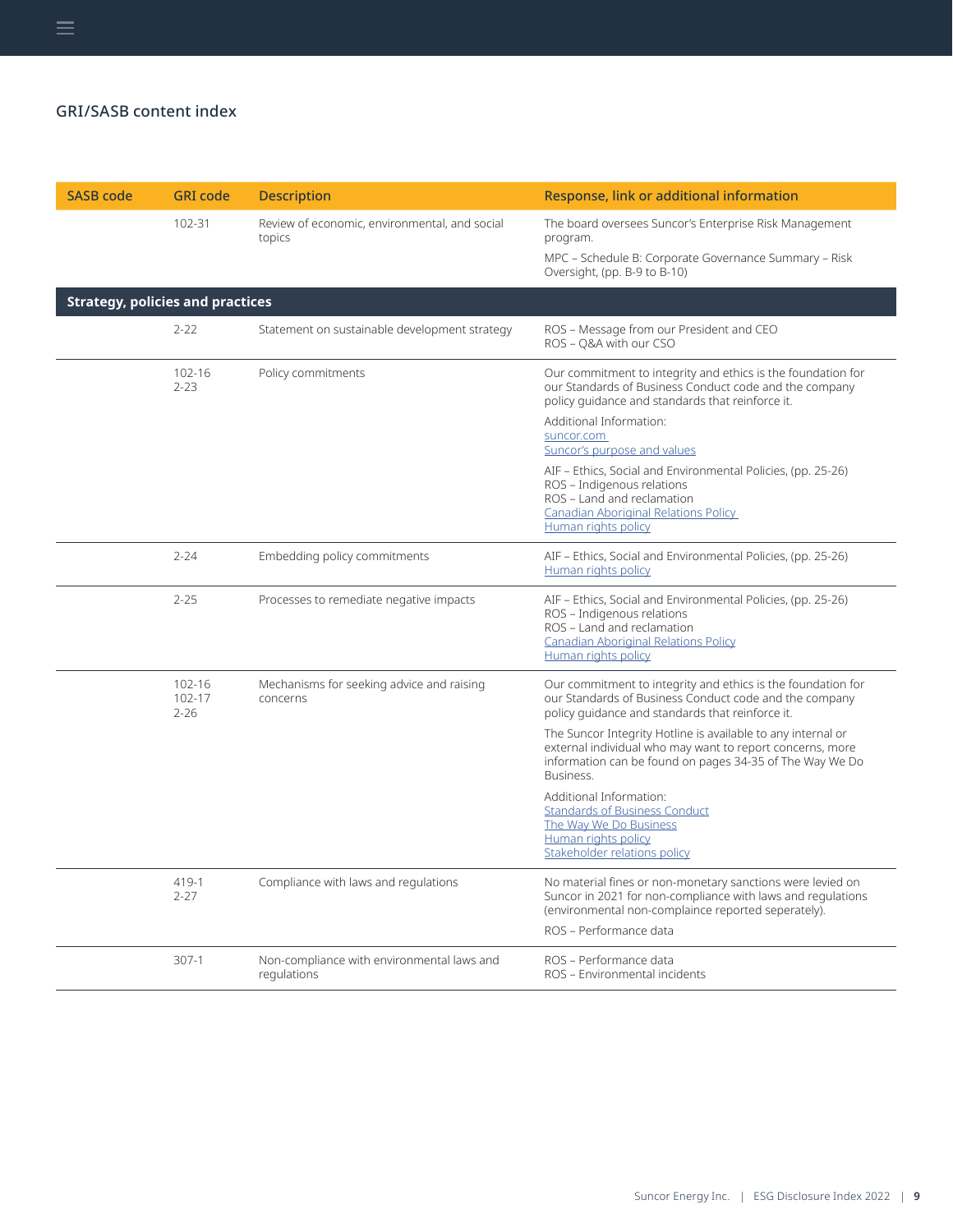| <b>SASB code</b>                        | <b>GRI code</b>                  | <b>Description</b>                                        | Response, link or additional information                                                                                                                                                                   |
|-----------------------------------------|----------------------------------|-----------------------------------------------------------|------------------------------------------------------------------------------------------------------------------------------------------------------------------------------------------------------------|
|                                         | 102-31                           | Review of economic, environmental, and social<br>topics   | The board oversees Suncor's Enterprise Risk Management<br>program.<br>MPC - Schedule B: Corporate Governance Summary - Risk<br>Oversight, (pp. B-9 to B-10)                                                |
| <b>Strategy, policies and practices</b> |                                  |                                                           |                                                                                                                                                                                                            |
|                                         | $2 - 22$                         | Statement on sustainable development strategy             | ROS - Message from our President and CEO<br>ROS - Q&A with our CSO                                                                                                                                         |
|                                         | 102-16<br>$2 - 23$               | Policy commitments                                        | Our commitment to integrity and ethics is the foundation for<br>our Standards of Business Conduct code and the company<br>policy quidance and standards that reinforce it.                                 |
|                                         |                                  |                                                           | Additional Information:<br>suncor.com<br>Suncor's purpose and values                                                                                                                                       |
|                                         |                                  |                                                           | AIF – Ethics, Social and Environmental Policies, (pp. 25-26)<br>ROS - Indigenous relations<br>ROS - Land and reclamation<br><b>Canadian Aboriginal Relations Policy</b><br>Human rights policy             |
|                                         | $2 - 24$                         | Embedding policy commitments                              | AIF - Ethics, Social and Environmental Policies, (pp. 25-26)<br>Human rights policy                                                                                                                        |
|                                         | $2 - 25$                         | Processes to remediate negative impacts                   | AIF - Ethics, Social and Environmental Policies, (pp. 25-26)<br>ROS - Indigenous relations<br>ROS - Land and reclamation<br><b>Canadian Aboriginal Relations Policy</b><br>Human rights policy             |
|                                         | $102 - 16$<br>102-17<br>$2 - 26$ | Mechanisms for seeking advice and raising<br>concerns     | Our commitment to integrity and ethics is the foundation for<br>our Standards of Business Conduct code and the company<br>policy quidance and standards that reinforce it.                                 |
|                                         |                                  |                                                           | The Suncor Integrity Hotline is available to any internal or<br>external individual who may want to report concerns, more<br>information can be found on pages 34-35 of The Way We Do<br>Business.         |
|                                         |                                  |                                                           | Additional Information:<br><b>Standards of Business Conduct</b><br>The Way We Do Business<br>Human rights policy<br>Stakeholder relations policy                                                           |
|                                         | 419-1<br>$2 - 27$                | Compliance with laws and regulations                      | No material fines or non-monetary sanctions were levied on<br>Suncor in 2021 for non-compliance with laws and regulations<br>(environmental non-complaince reported seperately).<br>ROS - Performance data |
|                                         | $307-1$                          | Non-compliance with environmental laws and<br>regulations | ROS - Performance data<br>ROS - Environmental incidents                                                                                                                                                    |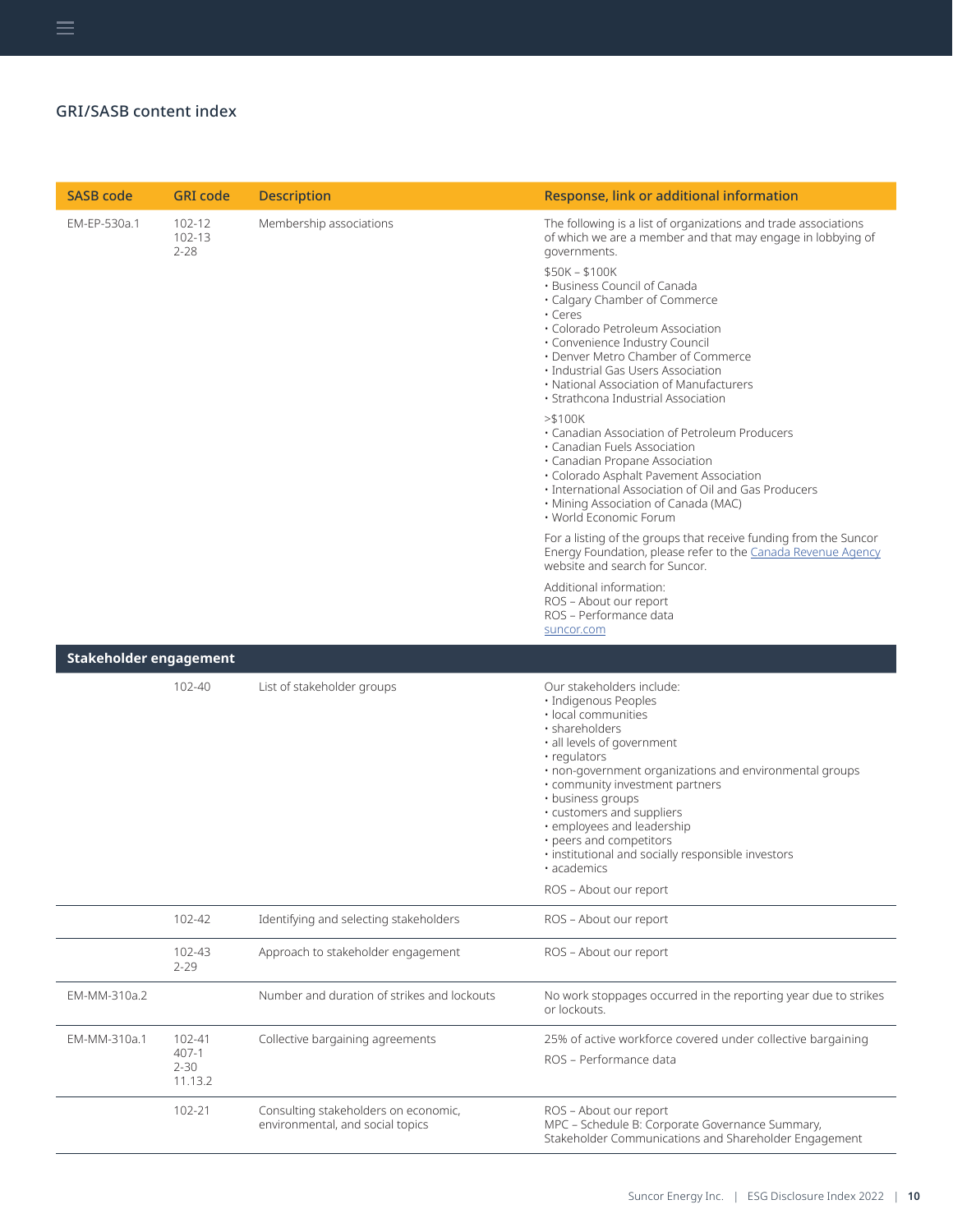| <b>SASB code</b>              | <b>GRI</b> code                        | <b>Description</b>                                                       | Response, link or additional information                                                                                                                                                                                                                                                                                                                                                                                                         |
|-------------------------------|----------------------------------------|--------------------------------------------------------------------------|--------------------------------------------------------------------------------------------------------------------------------------------------------------------------------------------------------------------------------------------------------------------------------------------------------------------------------------------------------------------------------------------------------------------------------------------------|
| EM-EP-530a.1                  | 102-12<br>102-13<br>$2 - 28$           | Membership associations                                                  | The following is a list of organizations and trade associations<br>of which we are a member and that may engage in lobbying of<br>governments.                                                                                                                                                                                                                                                                                                   |
|                               |                                        |                                                                          | \$50K - \$100K<br>· Business Council of Canada<br>• Calgary Chamber of Commerce<br>$\cdot$ Ceres<br>• Colorado Petroleum Association<br>· Convenience Industry Council<br>• Denver Metro Chamber of Commerce<br>· Industrial Gas Users Association<br>• National Association of Manufacturers<br>• Strathcona Industrial Association                                                                                                             |
|                               |                                        |                                                                          | > \$100K<br>• Canadian Association of Petroleum Producers<br>· Canadian Fuels Association<br>· Canadian Propane Association<br>· Colorado Asphalt Pavement Association<br>· International Association of Oil and Gas Producers<br>· Mining Association of Canada (MAC)<br>• World Economic Forum                                                                                                                                                 |
|                               |                                        |                                                                          | For a listing of the groups that receive funding from the Suncor<br>Energy Foundation, please refer to the Canada Revenue Agency<br>website and search for Suncor.                                                                                                                                                                                                                                                                               |
|                               |                                        |                                                                          | Additional information:<br>ROS - About our report<br>ROS - Performance data<br>suncor.com                                                                                                                                                                                                                                                                                                                                                        |
| <b>Stakeholder engagement</b> |                                        |                                                                          |                                                                                                                                                                                                                                                                                                                                                                                                                                                  |
|                               | 102-40                                 | List of stakeholder groups                                               | Our stakeholders include:<br>· Indigenous Peoples<br>· local communities<br>· shareholders<br>· all levels of government<br>· regulators<br>. non-government organizations and environmental groups<br>• community investment partners<br>• business groups<br>• customers and suppliers<br>· employees and leadership<br>• peers and competitors<br>· institutional and socially responsible investors<br>· academics<br>ROS - About our report |
|                               | 102-42                                 | Identifying and selecting stakeholders                                   | ROS - About our report                                                                                                                                                                                                                                                                                                                                                                                                                           |
|                               | 102-43<br>$2 - 29$                     | Approach to stakeholder engagement                                       | ROS - About our report                                                                                                                                                                                                                                                                                                                                                                                                                           |
| EM-MM-310a.2                  |                                        | Number and duration of strikes and lockouts                              | No work stoppages occurred in the reporting year due to strikes<br>or lockouts.                                                                                                                                                                                                                                                                                                                                                                  |
| EM-MM-310a.1                  | 102-41<br>407-1<br>$2 - 30$<br>11.13.2 | Collective bargaining agreements                                         | 25% of active workforce covered under collective bargaining<br>ROS - Performance data                                                                                                                                                                                                                                                                                                                                                            |
|                               | 102-21                                 | Consulting stakeholders on economic,<br>environmental, and social topics | ROS - About our report<br>MPC - Schedule B: Corporate Governance Summary,<br>Stakeholder Communications and Shareholder Engagement                                                                                                                                                                                                                                                                                                               |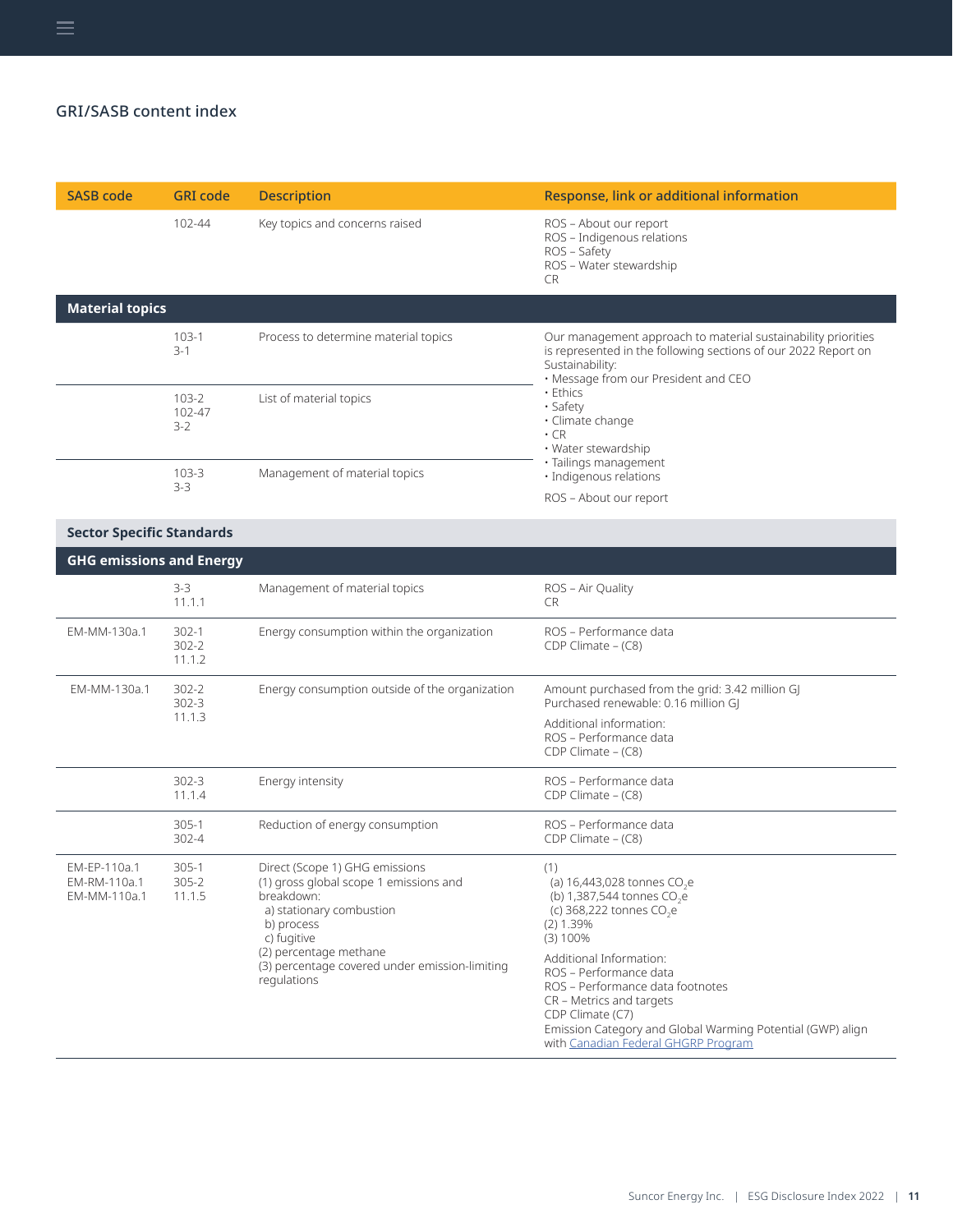| <b>SASB code</b>                             | <b>GRI</b> code                  | <b>Description</b>                                                                                                                                                                                                                         | Response, link or additional information                                                                                                                                                                                                                                                                                                                                                       |
|----------------------------------------------|----------------------------------|--------------------------------------------------------------------------------------------------------------------------------------------------------------------------------------------------------------------------------------------|------------------------------------------------------------------------------------------------------------------------------------------------------------------------------------------------------------------------------------------------------------------------------------------------------------------------------------------------------------------------------------------------|
|                                              | 102-44                           | Key topics and concerns raised                                                                                                                                                                                                             | ROS - About our report<br>ROS - Indigenous relations<br>ROS - Safety<br>ROS - Water stewardship<br>CR.                                                                                                                                                                                                                                                                                         |
| <b>Material topics</b>                       |                                  |                                                                                                                                                                                                                                            |                                                                                                                                                                                                                                                                                                                                                                                                |
|                                              | 103-1<br>$3-1$                   | Process to determine material topics                                                                                                                                                                                                       | Our management approach to material sustainability priorities<br>is represented in the following sections of our 2022 Report on<br>Sustainability:<br>· Message from our President and CEO                                                                                                                                                                                                     |
|                                              | $103 - 2$<br>102-47<br>$3-2$     | List of material topics                                                                                                                                                                                                                    | • Ethics<br>· Safety<br>· Climate change<br>$\cdot$ CR<br>• Water stewardship                                                                                                                                                                                                                                                                                                                  |
|                                              | $103 - 3$<br>$3-3$               | Management of material topics                                                                                                                                                                                                              | · Tailings management<br>· Indigenous relations<br>ROS - About our report                                                                                                                                                                                                                                                                                                                      |
| <b>Sector Specific Standards</b>             |                                  |                                                                                                                                                                                                                                            |                                                                                                                                                                                                                                                                                                                                                                                                |
| <b>GHG emissions and Energy</b>              |                                  |                                                                                                                                                                                                                                            |                                                                                                                                                                                                                                                                                                                                                                                                |
|                                              | $3-3$<br>11.1.1                  | Management of material topics                                                                                                                                                                                                              | ROS - Air Quality<br>CR.                                                                                                                                                                                                                                                                                                                                                                       |
| EM-MM-130a.1                                 | $302 - 1$<br>$302 - 2$<br>11.1.2 | Energy consumption within the organization                                                                                                                                                                                                 | ROS - Performance data<br>CDP Climate $-$ (C8)                                                                                                                                                                                                                                                                                                                                                 |
| EM-MM-130a.1                                 | $302 - 2$<br>$302 - 3$<br>11.1.3 | Energy consumption outside of the organization                                                                                                                                                                                             | Amount purchased from the grid: 3.42 million GJ<br>Purchased renewable: 0.16 million GJ<br>Additional information:<br>ROS - Performance data<br>CDP Climate - (C8)                                                                                                                                                                                                                             |
|                                              | $302 - 3$<br>11.1.4              | Energy intensity                                                                                                                                                                                                                           | ROS - Performance data<br>CDP Climate - (C8)                                                                                                                                                                                                                                                                                                                                                   |
|                                              | $305-1$<br>302-4                 | Reduction of energy consumption                                                                                                                                                                                                            | ROS - Performance data<br>CDP Climate - (C8)                                                                                                                                                                                                                                                                                                                                                   |
| EM-EP-110a.1<br>EM-RM-110a.1<br>EM-MM-110a.1 | 305-1<br>$305 - 2$<br>11.1.5     | Direct (Scope 1) GHG emissions<br>(1) gross global scope 1 emissions and<br>breakdown:<br>a) stationary combustion<br>b) process<br>c) fugitive<br>(2) percentage methane<br>(3) percentage covered under emission-limiting<br>regulations | (1)<br>(a) 16,443,028 tonnes CO <sub>2</sub> e<br>(b) 1,387,544 tonnes $CO_2$ e<br>(c) 368,222 tonnes CO <sub>2</sub> e<br>(2) 1.39%<br>(3) 100%<br>Additional Information:<br>ROS - Performance data<br>ROS - Performance data footnotes<br>CR - Metrics and targets<br>CDP Climate (C7)<br>Emission Category and Global Warming Potential (GWP) align<br>with Canadian Federal GHGRP Program |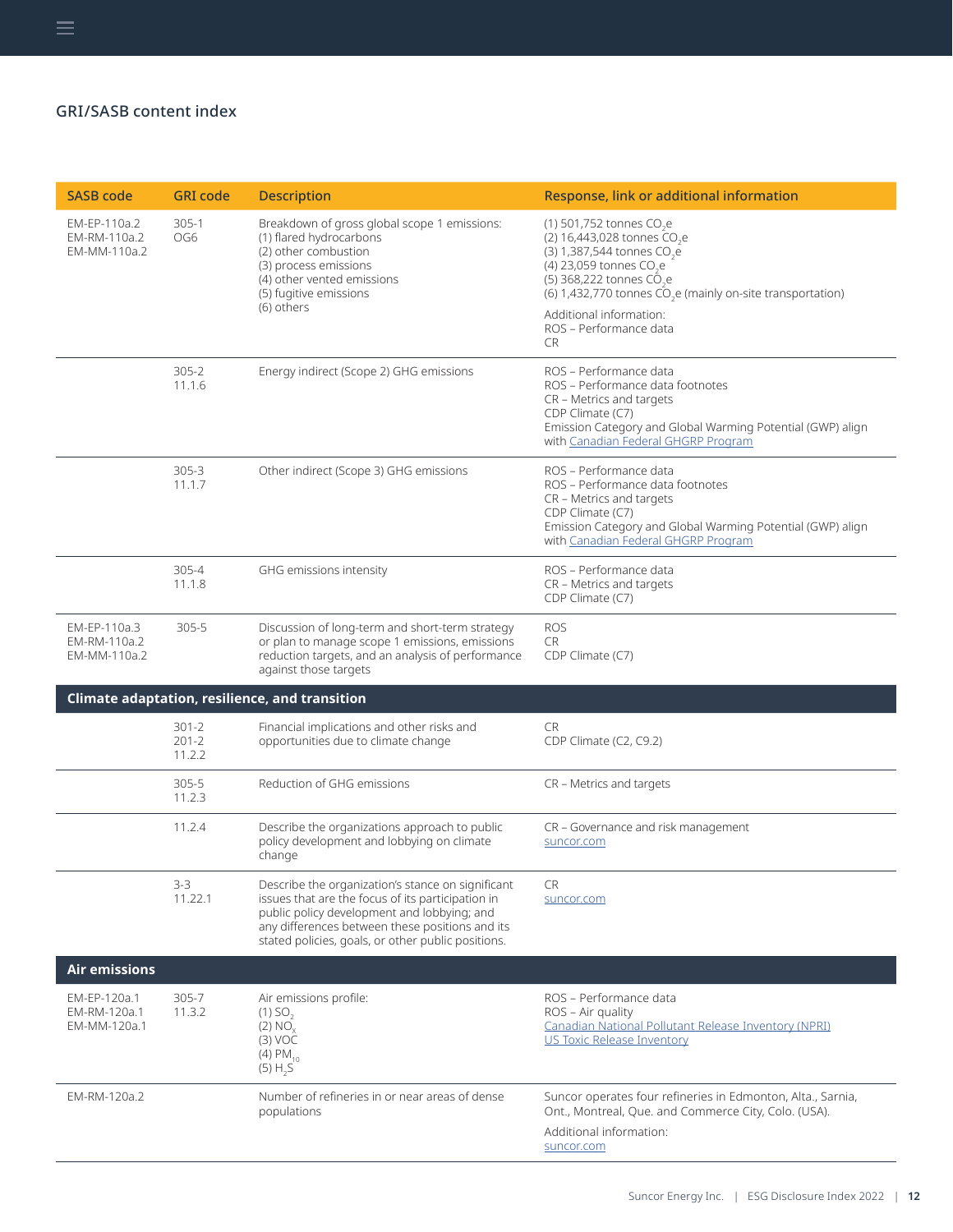| <b>SASB code</b>                             | <b>GRI</b> code                  | <b>Description</b>                                                                                                                                                                                                                                             | Response, link or additional information                                                                                                                                                                                                                                                                                    |
|----------------------------------------------|----------------------------------|----------------------------------------------------------------------------------------------------------------------------------------------------------------------------------------------------------------------------------------------------------------|-----------------------------------------------------------------------------------------------------------------------------------------------------------------------------------------------------------------------------------------------------------------------------------------------------------------------------|
| EM-EP-110a.2<br>EM-RM-110a.2<br>EM-MM-110a.2 | $305-1$<br>OG6                   | Breakdown of gross global scope 1 emissions:<br>(1) flared hydrocarbons<br>(2) other combustion<br>(3) process emissions<br>(4) other vented emissions<br>(5) fugitive emissions<br>(6) others                                                                 | (1) 501,752 tonnes CO.e<br>(2) 16,443,028 tonnes $CO2e$<br>(3) 1,387,544 tonnes CO <sub>2</sub> e<br>(4) 23,059 tonnes CO <sub>2</sub> e<br>(5) 368,222 tonnes CO <sub>3</sub> e<br>(6) 1,432,770 tonnes $\tilde{CO}_2$ e (mainly on-site transportation)<br>Additional information:<br>ROS - Performance data<br><b>CR</b> |
|                                              | $305 - 2$<br>11.1.6              | Energy indirect (Scope 2) GHG emissions                                                                                                                                                                                                                        | ROS - Performance data<br>ROS - Performance data footnotes<br>CR - Metrics and targets<br>CDP Climate (C7)<br>Emission Category and Global Warming Potential (GWP) align<br>with Canadian Federal GHGRP Program                                                                                                             |
|                                              | $305 - 3$<br>11.1.7              | Other indirect (Scope 3) GHG emissions                                                                                                                                                                                                                         | ROS - Performance data<br>ROS - Performance data footnotes<br>CR - Metrics and targets<br>CDP Climate (C7)<br>Emission Category and Global Warming Potential (GWP) align<br>with Canadian Federal GHGRP Program                                                                                                             |
|                                              | 305-4<br>11.1.8                  | GHG emissions intensity                                                                                                                                                                                                                                        | ROS - Performance data<br>CR - Metrics and targets<br>CDP Climate (C7)                                                                                                                                                                                                                                                      |
| EM-EP-110a.3<br>EM-RM-110a.2<br>EM-MM-110a.2 | $305 - 5$                        | Discussion of long-term and short-term strategy<br>or plan to manage scope 1 emissions, emissions<br>reduction targets, and an analysis of performance<br>against those targets                                                                                | <b>ROS</b><br>CR<br>CDP Climate (C7)                                                                                                                                                                                                                                                                                        |
|                                              |                                  | Climate adaptation, resilience, and transition                                                                                                                                                                                                                 |                                                                                                                                                                                                                                                                                                                             |
|                                              | $301 - 2$<br>$201 - 2$<br>11.2.2 | Financial implications and other risks and<br>opportunities due to climate change                                                                                                                                                                              | CR<br>CDP Climate (C2, C9.2)                                                                                                                                                                                                                                                                                                |
|                                              | $305 - 5$<br>11.2.3              | Reduction of GHG emissions                                                                                                                                                                                                                                     | CR – Metrics and targets                                                                                                                                                                                                                                                                                                    |
|                                              | 11.2.4                           | Describe the organizations approach to public<br>policy development and lobbying on climate<br>change                                                                                                                                                          | CR - Governance and risk management<br>suncor.com                                                                                                                                                                                                                                                                           |
| <b>Air emissions</b>                         | $3-3$<br>11.22.1                 | Describe the organization's stance on significant<br>issues that are the focus of its participation in<br>public policy development and lobbying; and<br>any differences between these positions and its<br>stated policies, goals, or other public positions. | <b>CR</b><br>suncor.com                                                                                                                                                                                                                                                                                                     |
| EM-EP-120a.1<br>EM-RM-120a.1<br>EM-MM-120a.1 | 305-7<br>11.3.2                  | Air emissions profile:<br>$(1)$ SO <sub>2</sub><br>(2) NO <sub>v</sub><br>$(3)$ VOC<br>$(4)$ PM <sub>10</sub><br>(5) H, 5                                                                                                                                      | ROS - Performance data<br>ROS - Air quality<br>Canadian National Pollutant Release Inventory (NPRI)<br>US Toxic Release Inventory                                                                                                                                                                                           |
| EM-RM-120a.2                                 |                                  | Number of refineries in or near areas of dense<br>populations                                                                                                                                                                                                  | Suncor operates four refineries in Edmonton, Alta., Sarnia,<br>Ont., Montreal, Que. and Commerce City, Colo. (USA).<br>Additional information:<br>suncor.com                                                                                                                                                                |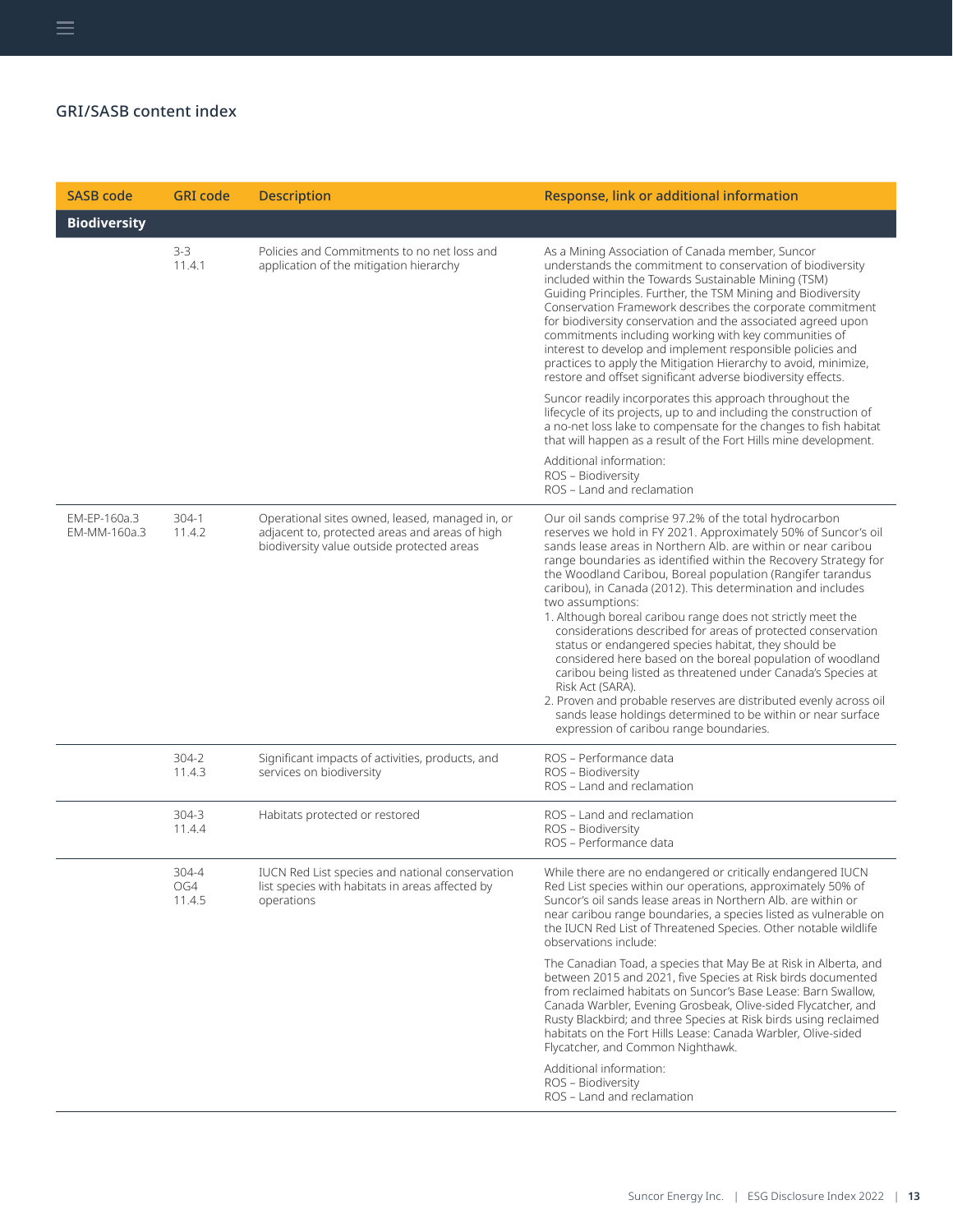| <b>SASB</b> code             | <b>GRI</b> code        | <b>Description</b>                                                                                                                              | Response, link or additional information                                                                                                                                                                                                                                                                                                                                                                                                                                                                                                                                                                                                                                                                                                                                                                                                                                                                                              |
|------------------------------|------------------------|-------------------------------------------------------------------------------------------------------------------------------------------------|---------------------------------------------------------------------------------------------------------------------------------------------------------------------------------------------------------------------------------------------------------------------------------------------------------------------------------------------------------------------------------------------------------------------------------------------------------------------------------------------------------------------------------------------------------------------------------------------------------------------------------------------------------------------------------------------------------------------------------------------------------------------------------------------------------------------------------------------------------------------------------------------------------------------------------------|
| <b>Biodiversity</b>          |                        |                                                                                                                                                 |                                                                                                                                                                                                                                                                                                                                                                                                                                                                                                                                                                                                                                                                                                                                                                                                                                                                                                                                       |
|                              | $3-3$<br>11.4.1        | Policies and Commitments to no net loss and<br>application of the mitigation hierarchy                                                          | As a Mining Association of Canada member, Suncor<br>understands the commitment to conservation of biodiversity<br>included within the Towards Sustainable Mining (TSM)<br>Guiding Principles. Further, the TSM Mining and Biodiversity<br>Conservation Framework describes the corporate commitment<br>for biodiversity conservation and the associated agreed upon<br>commitments including working with key communities of<br>interest to develop and implement responsible policies and<br>practices to apply the Mitigation Hierarchy to avoid, minimize,<br>restore and offset significant adverse biodiversity effects.                                                                                                                                                                                                                                                                                                         |
|                              |                        |                                                                                                                                                 | Suncor readily incorporates this approach throughout the<br>lifecycle of its projects, up to and including the construction of<br>a no-net loss lake to compensate for the changes to fish habitat<br>that will happen as a result of the Fort Hills mine development.                                                                                                                                                                                                                                                                                                                                                                                                                                                                                                                                                                                                                                                                |
|                              |                        |                                                                                                                                                 | Additional information:<br>ROS - Biodiversity<br>ROS - Land and reclamation                                                                                                                                                                                                                                                                                                                                                                                                                                                                                                                                                                                                                                                                                                                                                                                                                                                           |
| EM-EP-160a.3<br>EM-MM-160a.3 | $304-1$<br>11.4.2      | Operational sites owned, leased, managed in, or<br>adjacent to, protected areas and areas of high<br>biodiversity value outside protected areas | Our oil sands comprise 97.2% of the total hydrocarbon<br>reserves we hold in FY 2021. Approximately 50% of Suncor's oil<br>sands lease areas in Northern Alb, are within or near caribou<br>range boundaries as identified within the Recovery Strategy for<br>the Woodland Caribou, Boreal population (Rangifer tarandus<br>caribou), in Canada (2012). This determination and includes<br>two assumptions:<br>1. Although boreal caribou range does not strictly meet the<br>considerations described for areas of protected conservation<br>status or endangered species habitat, they should be<br>considered here based on the boreal population of woodland<br>caribou being listed as threatened under Canada's Species at<br>Risk Act (SARA).<br>2. Proven and probable reserves are distributed evenly across oil<br>sands lease holdings determined to be within or near surface<br>expression of caribou range boundaries. |
|                              | 304-2<br>11.4.3        | Significant impacts of activities, products, and<br>services on biodiversity                                                                    | ROS - Performance data<br>ROS - Biodiversity<br>ROS - Land and reclamation                                                                                                                                                                                                                                                                                                                                                                                                                                                                                                                                                                                                                                                                                                                                                                                                                                                            |
|                              | 304-3<br>11.4.4        | Habitats protected or restored                                                                                                                  | ROS - Land and reclamation<br>ROS - Biodiversity<br>ROS - Performance data                                                                                                                                                                                                                                                                                                                                                                                                                                                                                                                                                                                                                                                                                                                                                                                                                                                            |
|                              | 304-4<br>OG4<br>11.4.5 | IUCN Red List species and national conservation<br>list species with habitats in areas affected by<br>operations                                | While there are no endangered or critically endangered IUCN<br>Red List species within our operations, approximately 50% of<br>Suncor's oil sands lease areas in Northern Alb. are within or<br>near caribou range boundaries, a species listed as vulnerable on<br>the IUCN Red List of Threatened Species. Other notable wildlife<br>observations include:                                                                                                                                                                                                                                                                                                                                                                                                                                                                                                                                                                          |
|                              |                        |                                                                                                                                                 | The Canadian Toad, a species that May Be at Risk in Alberta, and<br>between 2015 and 2021, five Species at Risk birds documented<br>from reclaimed habitats on Suncor's Base Lease: Barn Swallow,<br>Canada Warbler, Evening Grosbeak, Olive-sided Flycatcher, and<br>Rusty Blackbird; and three Species at Risk birds using reclaimed<br>habitats on the Fort Hills Lease: Canada Warbler, Olive-sided<br>Flycatcher, and Common Nighthawk.                                                                                                                                                                                                                                                                                                                                                                                                                                                                                          |
|                              |                        |                                                                                                                                                 | Additional information:<br>ROS - Biodiversity<br>ROS - Land and reclamation                                                                                                                                                                                                                                                                                                                                                                                                                                                                                                                                                                                                                                                                                                                                                                                                                                                           |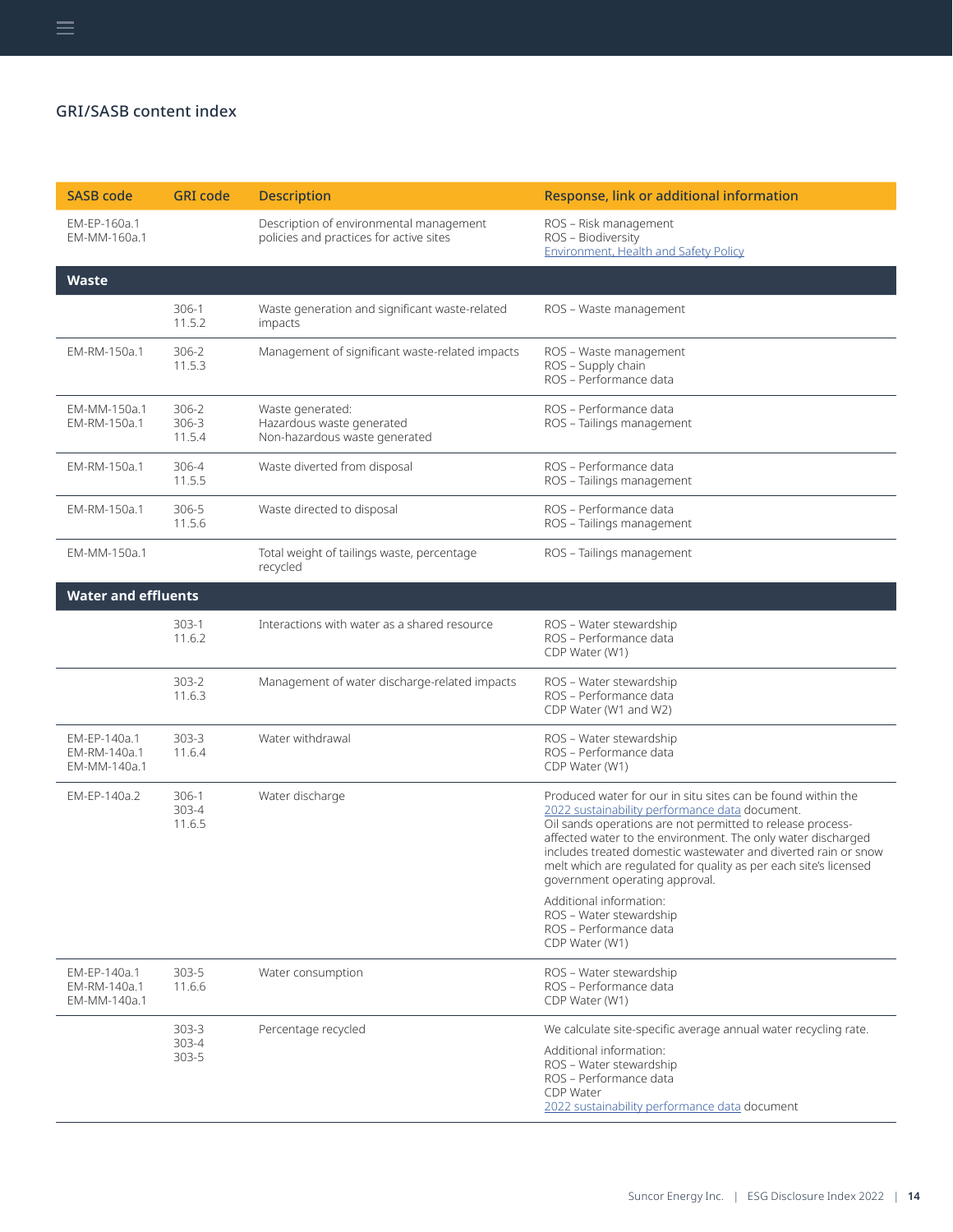| <b>SASB code</b>                             | <b>GRI</b> code             | <b>Description</b>                                                                 | Response, link or additional information                                                                                                                                                                                                                                                                                                                                                                                                        |
|----------------------------------------------|-----------------------------|------------------------------------------------------------------------------------|-------------------------------------------------------------------------------------------------------------------------------------------------------------------------------------------------------------------------------------------------------------------------------------------------------------------------------------------------------------------------------------------------------------------------------------------------|
| EM-EP-160a.1<br>EM-MM-160a.1                 |                             | Description of environmental management<br>policies and practices for active sites | ROS - Risk management<br>ROS - Biodiversity<br><b>Environment, Health and Safety Policy</b>                                                                                                                                                                                                                                                                                                                                                     |
| <b>Waste</b>                                 |                             |                                                                                    |                                                                                                                                                                                                                                                                                                                                                                                                                                                 |
|                                              | 306-1<br>11.5.2             | Waste generation and significant waste-related<br>impacts                          | ROS - Waste management                                                                                                                                                                                                                                                                                                                                                                                                                          |
| EM-RM-150a.1                                 | 306-2<br>11.5.3             | Management of significant waste-related impacts                                    | ROS - Waste management<br>ROS - Supply chain<br>ROS - Performance data                                                                                                                                                                                                                                                                                                                                                                          |
| EM-MM-150a.1<br>EM-RM-150a.1                 | 306-2<br>306-3<br>11.5.4    | Waste generated:<br>Hazardous waste generated<br>Non-hazardous waste generated     | ROS - Performance data<br>ROS - Tailings management                                                                                                                                                                                                                                                                                                                                                                                             |
| EM-RM-150a.1                                 | 306-4<br>11.5.5             | Waste diverted from disposal                                                       | ROS - Performance data<br>ROS - Tailings management                                                                                                                                                                                                                                                                                                                                                                                             |
| EM-RM-150a.1                                 | 306-5<br>11.5.6             | Waste directed to disposal                                                         | ROS - Performance data<br>ROS - Tailings management                                                                                                                                                                                                                                                                                                                                                                                             |
| EM-MM-150a.1                                 |                             | Total weight of tailings waste, percentage<br>recycled                             | ROS - Tailings management                                                                                                                                                                                                                                                                                                                                                                                                                       |
| <b>Water and effluents</b>                   |                             |                                                                                    |                                                                                                                                                                                                                                                                                                                                                                                                                                                 |
|                                              | 303-1<br>11.6.2             | Interactions with water as a shared resource                                       | ROS - Water stewardship<br>ROS - Performance data<br>CDP Water (W1)                                                                                                                                                                                                                                                                                                                                                                             |
|                                              | $303 - 2$<br>11.6.3         | Management of water discharge-related impacts                                      | ROS - Water stewardship<br>ROS - Performance data<br>CDP Water (W1 and W2)                                                                                                                                                                                                                                                                                                                                                                      |
| EM-EP-140a.1<br>EM-RM-140a.1<br>EM-MM-140a.1 | 303-3<br>11.6.4             | Water withdrawal                                                                   | ROS - Water stewardship<br>ROS - Performance data<br>CDP Water (W1)                                                                                                                                                                                                                                                                                                                                                                             |
| EM-EP-140a.2                                 | 306-1<br>303-4<br>11.6.5    | Water discharge                                                                    | Produced water for our in situ sites can be found within the<br>2022 sustainability performance data document.<br>Oil sands operations are not permitted to release process-<br>affected water to the environment. The only water discharged<br>includes treated domestic wastewater and diverted rain or snow<br>melt which are regulated for quality as per each site's licensed<br>government operating approval.<br>Additional information: |
|                                              |                             |                                                                                    | ROS - Water stewardship<br>ROS - Performance data<br>CDP Water (W1)                                                                                                                                                                                                                                                                                                                                                                             |
| EM-EP-140a.1<br>EM-RM-140a.1<br>EM-MM-140a.1 | 303-5<br>11.6.6             | Water consumption                                                                  | ROS - Water stewardship<br>ROS - Performance data<br>CDP Water (W1)                                                                                                                                                                                                                                                                                                                                                                             |
|                                              | $303 - 3$<br>303-4<br>303-5 | Percentage recycled                                                                | We calculate site-specific average annual water recycling rate.<br>Additional information:<br>ROS - Water stewardship<br>ROS - Performance data<br>CDP Water<br>2022 sustainability performance data document                                                                                                                                                                                                                                   |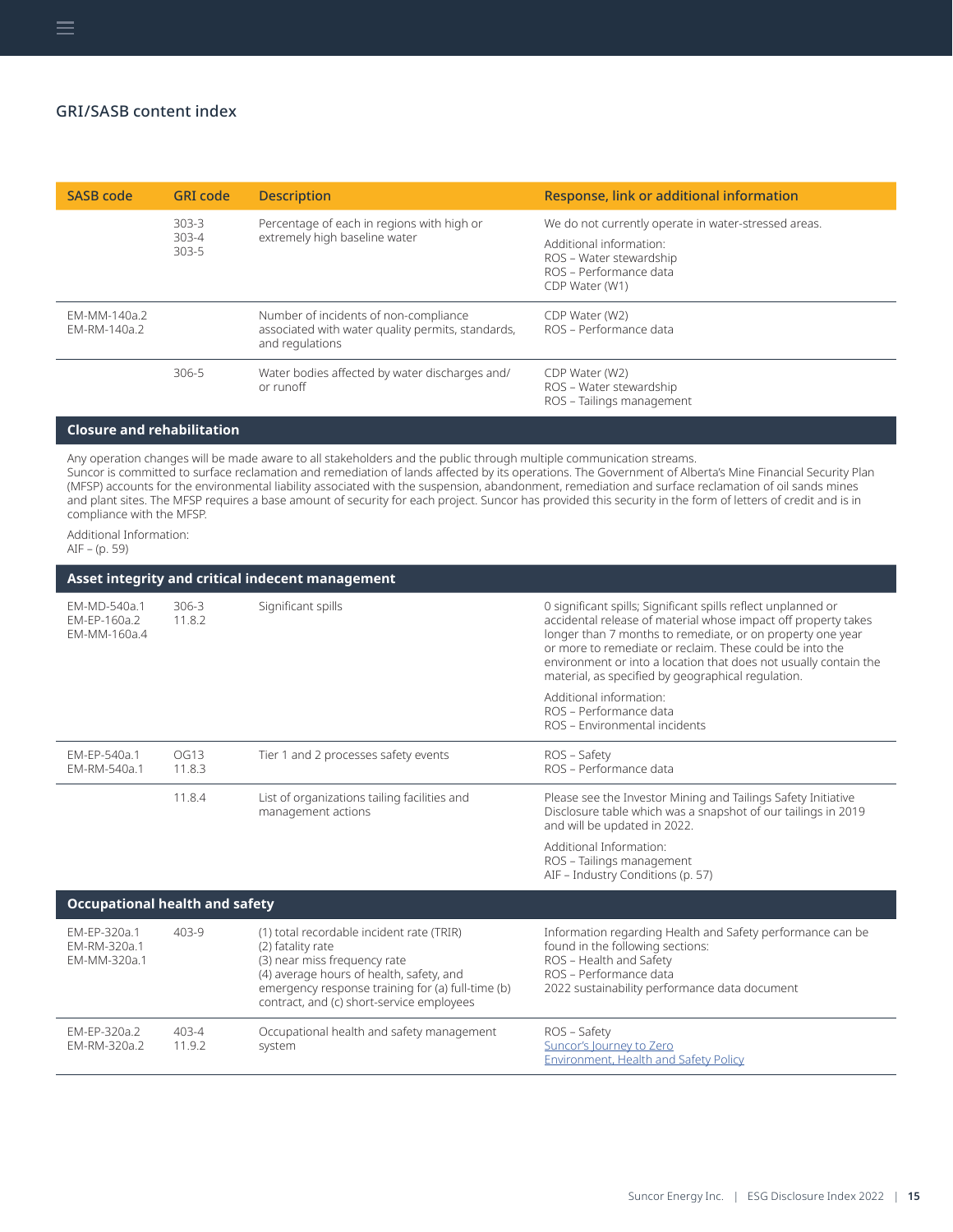$\equiv$ 

| <b>SASB code</b>             | <b>GRI</b> code                     | <b>Description</b>                                                                                            | Response, link or additional information                                                       |
|------------------------------|-------------------------------------|---------------------------------------------------------------------------------------------------------------|------------------------------------------------------------------------------------------------|
|                              | $303 - 3$<br>$303 - 4$<br>$303 - 5$ | Percentage of each in regions with high or<br>extremely high baseline water                                   | We do not currently operate in water-stressed areas.                                           |
|                              |                                     |                                                                                                               | Additional information:<br>ROS - Water stewardship<br>ROS – Performance data<br>CDP Water (W1) |
| FM-MM-140a.2<br>EM-RM-140a.2 |                                     | Number of incidents of non-compliance<br>associated with water quality permits, standards,<br>and regulations | CDP Water (W2)<br>ROS – Performance data                                                       |
|                              | 306-5                               | Water bodies affected by water discharges and/<br>or runoff                                                   | CDP Water (W2)<br>ROS - Water stewardship<br>ROS - Tailings management                         |

#### **Closure and rehabilitation**

Any operation changes will be made aware to all stakeholders and the public through multiple communication streams. Suncor is committed to surface reclamation and remediation of lands affected by its operations. The Government of Alberta's Mine Financial Security Plan (MFSP) accounts for the environmental liability associated with the suspension, abandonment, remediation and surface reclamation of oil sands mines and plant sites. The MFSP requires a base amount of security for each project. Suncor has provided this security in the form of letters of credit and is in compliance with the MFSP.

Additional Information:

AIF – (p. 59)

| Asset integrity and critical indecent management |                     |                                                                                                                                                                                                                                              |                                                                                                                                                                                                                                                                                                                                                                                     |
|--------------------------------------------------|---------------------|----------------------------------------------------------------------------------------------------------------------------------------------------------------------------------------------------------------------------------------------|-------------------------------------------------------------------------------------------------------------------------------------------------------------------------------------------------------------------------------------------------------------------------------------------------------------------------------------------------------------------------------------|
| EM-MD-540a.1<br>EM-EP-160a.2<br>EM-MM-160a.4     | $306 - 3$<br>11.8.2 | Significant spills                                                                                                                                                                                                                           | 0 significant spills; Significant spills reflect unplanned or<br>accidental release of material whose impact off property takes<br>longer than 7 months to remediate, or on property one year<br>or more to remediate or reclaim. These could be into the<br>environment or into a location that does not usually contain the<br>material, as specified by geographical regulation. |
|                                                  |                     |                                                                                                                                                                                                                                              | Additional information:<br>ROS - Performance data<br>ROS - Environmental incidents                                                                                                                                                                                                                                                                                                  |
| EM-EP-540a.1<br>FM-RM-540a.1                     | OG13<br>11.8.3      | Tier 1 and 2 processes safety events                                                                                                                                                                                                         | ROS - Safety<br>ROS – Performance data                                                                                                                                                                                                                                                                                                                                              |
|                                                  | 11.8.4              | List of organizations tailing facilities and<br>management actions                                                                                                                                                                           | Please see the Investor Mining and Tailings Safety Initiative<br>Disclosure table which was a snapshot of our tailings in 2019<br>and will be updated in 2022.                                                                                                                                                                                                                      |
|                                                  |                     |                                                                                                                                                                                                                                              | Additional Information:<br>ROS - Tailings management<br>AIF - Industry Conditions (p. 57)                                                                                                                                                                                                                                                                                           |
| <b>Occupational health and safety</b>            |                     |                                                                                                                                                                                                                                              |                                                                                                                                                                                                                                                                                                                                                                                     |
| EM-EP-320a.1<br>EM-RM-320a.1<br>EM-MM-320a.1     | 403-9               | (1) total recordable incident rate (TRIR)<br>(2) fatality rate<br>(3) near miss frequency rate<br>(4) average hours of health, safety, and<br>emergency response training for (a) full-time (b)<br>contract, and (c) short-service employees | Information regarding Health and Safety performance can be<br>found in the following sections:<br>ROS - Health and Safety<br>ROS – Performance data<br>2022 sustainability performance data document                                                                                                                                                                                |
| EM-EP-320a.2<br>EM-RM-320a.2                     | 403-4<br>11.9.2     | Occupational health and safety management<br>system                                                                                                                                                                                          | ROS - Safety<br>Suncor's Journey to Zero<br><b>Environment, Health and Safety Policy</b>                                                                                                                                                                                                                                                                                            |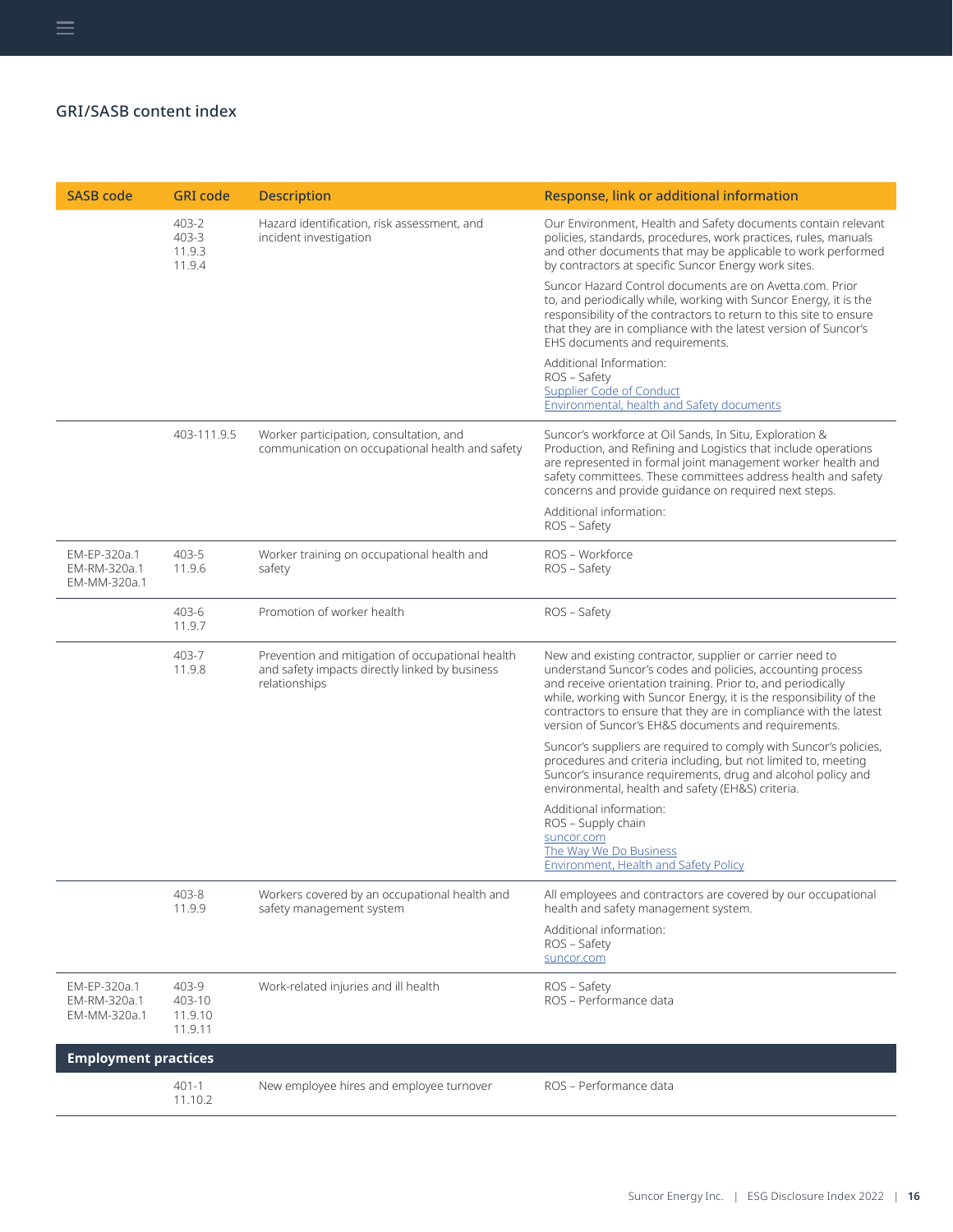| <b>SASB code</b>                             | <b>GRI</b> code                       | <b>Description</b>                                                                                                  | Response, link or additional information                                                                                                                                                                                                                                                                                                                                                  |
|----------------------------------------------|---------------------------------------|---------------------------------------------------------------------------------------------------------------------|-------------------------------------------------------------------------------------------------------------------------------------------------------------------------------------------------------------------------------------------------------------------------------------------------------------------------------------------------------------------------------------------|
|                                              | 403-2<br>403-3<br>11.9.3<br>11.9.4    | Hazard identification, risk assessment, and<br>incident investigation                                               | Our Environment, Health and Safety documents contain relevant<br>policies, standards, procedures, work practices, rules, manuals<br>and other documents that may be applicable to work performed<br>by contractors at specific Suncor Energy work sites.                                                                                                                                  |
|                                              |                                       |                                                                                                                     | Suncor Hazard Control documents are on Avetta.com. Prior<br>to, and periodically while, working with Suncor Energy, it is the<br>responsibility of the contractors to return to this site to ensure<br>that they are in compliance with the latest version of Suncor's<br>EHS documents and requirements.                                                                                 |
|                                              |                                       |                                                                                                                     | Additional Information:<br>ROS - Safety<br><b>Supplier Code of Conduct</b><br>Environmental, health and Safety documents                                                                                                                                                                                                                                                                  |
|                                              | 403-111.9.5                           | Worker participation, consultation, and<br>communication on occupational health and safety                          | Suncor's workforce at Oil Sands, In Situ, Exploration &<br>Production, and Refining and Logistics that include operations<br>are represented in formal joint management worker health and<br>safety committees. These committees address health and safety<br>concerns and provide guidance on required next steps.                                                                       |
|                                              |                                       |                                                                                                                     | Additional information:<br>ROS - Safety                                                                                                                                                                                                                                                                                                                                                   |
| EM-EP-320a.1<br>EM-RM-320a.1<br>EM-MM-320a.1 | 403-5<br>11.9.6                       | Worker training on occupational health and<br>safety                                                                | ROS - Workforce<br>ROS – Safety                                                                                                                                                                                                                                                                                                                                                           |
|                                              | 403-6<br>11.9.7                       | Promotion of worker health                                                                                          | ROS – Safety                                                                                                                                                                                                                                                                                                                                                                              |
|                                              | 403-7<br>11.9.8                       | Prevention and mitigation of occupational health<br>and safety impacts directly linked by business<br>relationships | New and existing contractor, supplier or carrier need to<br>understand Suncor's codes and policies, accounting process<br>and receive orientation training. Prior to, and periodically<br>while, working with Suncor Energy, it is the responsibility of the<br>contractors to ensure that they are in compliance with the latest<br>version of Suncor's EH&S documents and requirements. |
|                                              |                                       |                                                                                                                     | Suncor's suppliers are required to comply with Suncor's policies,<br>procedures and criteria including, but not limited to, meeting<br>Suncor's insurance requirements, drug and alcohol policy and<br>environmental, health and safety (EH&S) criteria.                                                                                                                                  |
|                                              |                                       |                                                                                                                     | Additional information:<br>ROS - Supply chain<br>suncor.com<br>The Way We Do Business<br><b>Environment, Health and Safety Policy</b>                                                                                                                                                                                                                                                     |
|                                              | 403-8<br>11.9.9                       | Workers covered by an occupational health and<br>safety management system                                           | All employees and contractors are covered by our occupational<br>health and safety management system.<br>Additional information:                                                                                                                                                                                                                                                          |
|                                              |                                       |                                                                                                                     | ROS - Safety<br>suncor.com                                                                                                                                                                                                                                                                                                                                                                |
| EM-EP-320a.1<br>EM-RM-320a.1<br>EM-MM-320a.1 | 403-9<br>403-10<br>11.9.10<br>11.9.11 | Work-related injuries and ill health                                                                                | ROS – Safety<br>ROS - Performance data                                                                                                                                                                                                                                                                                                                                                    |
| <b>Employment practices</b>                  |                                       |                                                                                                                     |                                                                                                                                                                                                                                                                                                                                                                                           |
|                                              | $401 - 1$<br>11.10.2                  | New employee hires and employee turnover                                                                            | ROS - Performance data                                                                                                                                                                                                                                                                                                                                                                    |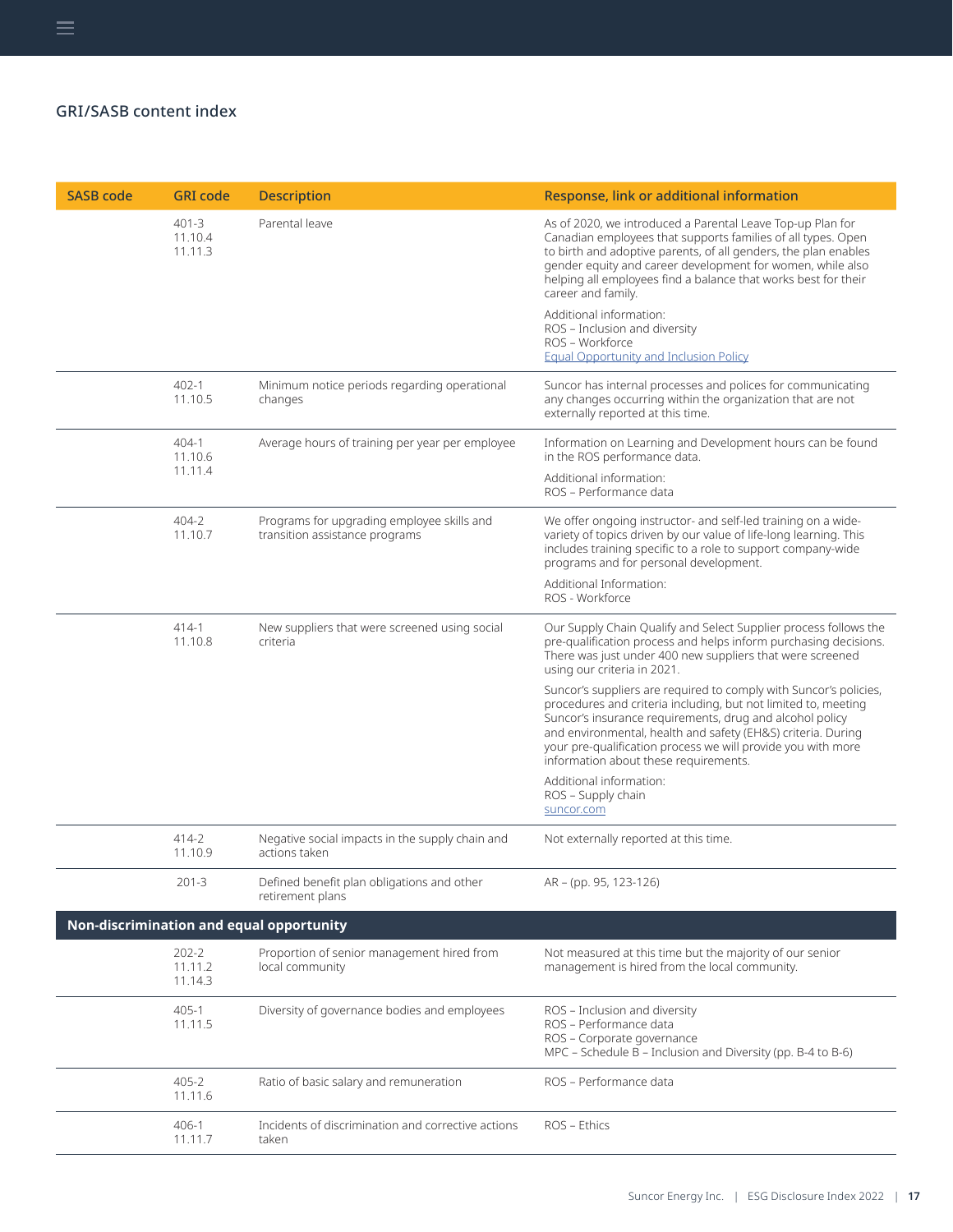| <b>SASB code</b> | <b>GRI</b> code                 | <b>Description</b>                                                           | Response, link or additional information                                                                                                                                                                                                                                                                                                                                 |
|------------------|---------------------------------|------------------------------------------------------------------------------|--------------------------------------------------------------------------------------------------------------------------------------------------------------------------------------------------------------------------------------------------------------------------------------------------------------------------------------------------------------------------|
|                  | $401 - 3$<br>11.10.4<br>11.11.3 | Parental leave                                                               | As of 2020, we introduced a Parental Leave Top-up Plan for<br>Canadian employees that supports families of all types. Open<br>to birth and adoptive parents, of all genders, the plan enables<br>gender equity and career development for women, while also<br>helping all employees find a balance that works best for their<br>career and family.                      |
|                  |                                 |                                                                              | Additional information:<br>ROS - Inclusion and diversity<br>ROS - Workforce<br><b>Equal Opportunity and Inclusion Policy</b>                                                                                                                                                                                                                                             |
|                  | 402-1<br>11.10.5                | Minimum notice periods regarding operational<br>changes                      | Suncor has internal processes and polices for communicating<br>any changes occurring within the organization that are not<br>externally reported at this time.                                                                                                                                                                                                           |
|                  | 404-1<br>11.10.6                | Average hours of training per year per employee                              | Information on Learning and Development hours can be found<br>in the ROS performance data.                                                                                                                                                                                                                                                                               |
|                  | 11.11.4                         |                                                                              | Additional information:<br>ROS - Performance data                                                                                                                                                                                                                                                                                                                        |
|                  | 404-2<br>11.10.7                | Programs for upgrading employee skills and<br>transition assistance programs | We offer ongoing instructor- and self-led training on a wide-<br>variety of topics driven by our value of life-long learning. This<br>includes training specific to a role to support company-wide<br>programs and for personal development.                                                                                                                             |
|                  |                                 |                                                                              | Additional Information:<br>ROS - Workforce                                                                                                                                                                                                                                                                                                                               |
|                  | $414-1$<br>11.10.8              | New suppliers that were screened using social<br>criteria                    | Our Supply Chain Qualify and Select Supplier process follows the<br>pre-qualification process and helps inform purchasing decisions.<br>There was just under 400 new suppliers that were screened<br>using our criteria in 2021.                                                                                                                                         |
|                  |                                 |                                                                              | Suncor's suppliers are required to comply with Suncor's policies,<br>procedures and criteria including, but not limited to, meeting<br>Suncor's insurance requirements, drug and alcohol policy<br>and environmental, health and safety (EH&S) criteria. During<br>your pre-qualification process we will provide you with more<br>information about these requirements. |
|                  |                                 |                                                                              | Additional information:<br>ROS - Supply chain<br>suncor.com                                                                                                                                                                                                                                                                                                              |
|                  | 414-2<br>11.10.9                | Negative social impacts in the supply chain and<br>actions taken             | Not externally reported at this time.                                                                                                                                                                                                                                                                                                                                    |
|                  | 201-3                           | Defined benefit plan obligations and other<br>retirement plans               | AR - (pp. 95, 123-126)                                                                                                                                                                                                                                                                                                                                                   |
|                  |                                 | Non-discrimination and equal opportunity                                     |                                                                                                                                                                                                                                                                                                                                                                          |
|                  | $202 - 2$<br>11.11.2<br>11.14.3 | Proportion of senior management hired from<br>local community                | Not measured at this time but the majority of our senior<br>management is hired from the local community.                                                                                                                                                                                                                                                                |
|                  | 405-1<br>11.11.5                | Diversity of governance bodies and employees                                 | ROS - Inclusion and diversity<br>ROS - Performance data<br>ROS - Corporate governance<br>MPC – Schedule B – Inclusion and Diversity (pp. B-4 to B-6)                                                                                                                                                                                                                     |
|                  | $405 - 2$<br>11.11.6            | Ratio of basic salary and remuneration                                       | ROS - Performance data                                                                                                                                                                                                                                                                                                                                                   |
|                  | 406-1<br>11.11.7                | Incidents of discrimination and corrective actions<br>taken                  | ROS - Ethics                                                                                                                                                                                                                                                                                                                                                             |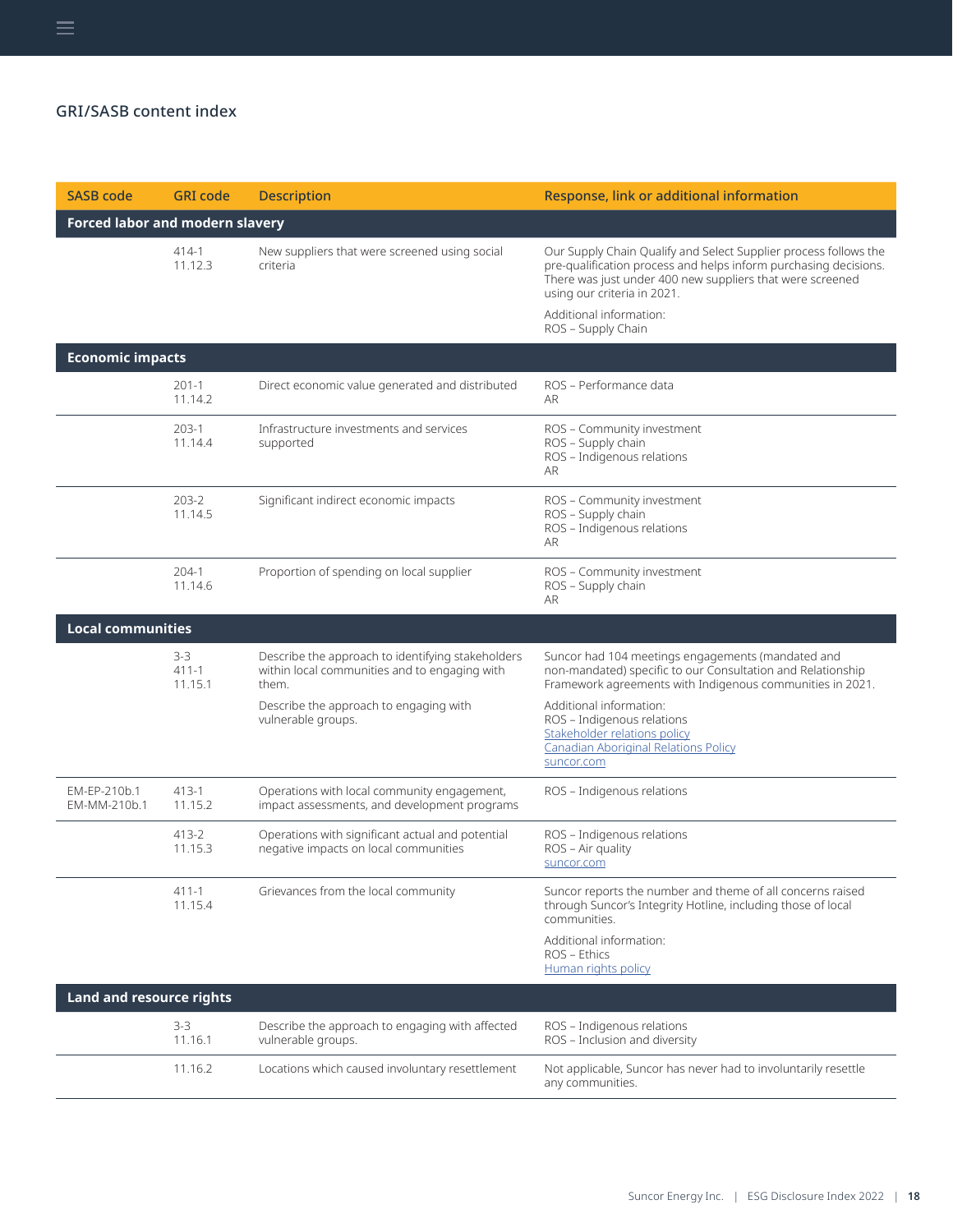| <b>SASB code</b>                       | <b>GRI</b> code               | <b>Description</b>                                                                                                                                                          | Response, link or additional information                                                                                                                                                                                                                                                                              |
|----------------------------------------|-------------------------------|-----------------------------------------------------------------------------------------------------------------------------------------------------------------------------|-----------------------------------------------------------------------------------------------------------------------------------------------------------------------------------------------------------------------------------------------------------------------------------------------------------------------|
| <b>Forced labor and modern slavery</b> |                               |                                                                                                                                                                             |                                                                                                                                                                                                                                                                                                                       |
|                                        | 414-1<br>11.12.3              | New suppliers that were screened using social<br>criteria                                                                                                                   | Our Supply Chain Qualify and Select Supplier process follows the<br>pre-qualification process and helps inform purchasing decisions.<br>There was just under 400 new suppliers that were screened<br>using our criteria in 2021.<br>Additional information:<br>ROS - Supply Chain                                     |
| <b>Economic impacts</b>                |                               |                                                                                                                                                                             |                                                                                                                                                                                                                                                                                                                       |
|                                        | $201 - 1$<br>11.14.2          | Direct economic value generated and distributed                                                                                                                             | ROS - Performance data<br><b>AR</b>                                                                                                                                                                                                                                                                                   |
|                                        | $203-1$<br>11.14.4            | Infrastructure investments and services<br>supported                                                                                                                        | ROS - Community investment<br>ROS - Supply chain<br>ROS - Indigenous relations<br>AR                                                                                                                                                                                                                                  |
|                                        | 203-2<br>11.14.5              | Significant indirect economic impacts                                                                                                                                       | ROS - Community investment<br>ROS - Supply chain<br>ROS - Indigenous relations<br><b>AR</b>                                                                                                                                                                                                                           |
|                                        | $204-1$<br>11.14.6            | Proportion of spending on local supplier                                                                                                                                    | ROS - Community investment<br>ROS - Supply chain<br>AR                                                                                                                                                                                                                                                                |
| <b>Local communities</b>               |                               |                                                                                                                                                                             |                                                                                                                                                                                                                                                                                                                       |
|                                        | $3-3$<br>$411 - 1$<br>11.15.1 | Describe the approach to identifying stakeholders<br>within local communities and to engaging with<br>them.<br>Describe the approach to engaging with<br>vulnerable groups. | Suncor had 104 meetings engagements (mandated and<br>non-mandated) specific to our Consultation and Relationship<br>Framework agreements with Indigenous communities in 2021.<br>Additional information:<br>ROS - Indigenous relations<br>Stakeholder relations policy<br><b>Canadian Aboriginal Relations Policy</b> |
|                                        |                               |                                                                                                                                                                             | suncor.com                                                                                                                                                                                                                                                                                                            |
| EM-EP-210b.1<br>EM-MM-210b.1           | $413 - 1$<br>11.15.2          | Operations with local community engagement,<br>impact assessments, and development programs                                                                                 | ROS - Indigenous relations                                                                                                                                                                                                                                                                                            |
|                                        | 413-2<br>11.15.3              | Operations with significant actual and potential<br>negative impacts on local communities                                                                                   | ROS - Indigenous relations<br>ROS - Air quality<br>suncor.com                                                                                                                                                                                                                                                         |
|                                        | $411 - 1$<br>11.15.4          | Grievances from the local community                                                                                                                                         | Suncor reports the number and theme of all concerns raised<br>through Suncor's Integrity Hotline, including those of local<br>communities.                                                                                                                                                                            |
|                                        |                               |                                                                                                                                                                             | Additional information:<br>ROS - Ethics<br>Human rights policy                                                                                                                                                                                                                                                        |
| <b>Land and resource rights</b>        |                               |                                                                                                                                                                             |                                                                                                                                                                                                                                                                                                                       |
|                                        | $3-3$<br>11.16.1              | Describe the approach to engaging with affected<br>vulnerable groups.                                                                                                       | ROS - Indigenous relations<br>ROS - Inclusion and diversity                                                                                                                                                                                                                                                           |
|                                        | 11.16.2                       | Locations which caused involuntary resettlement                                                                                                                             | Not applicable, Suncor has never had to involuntarily resettle<br>any communities.                                                                                                                                                                                                                                    |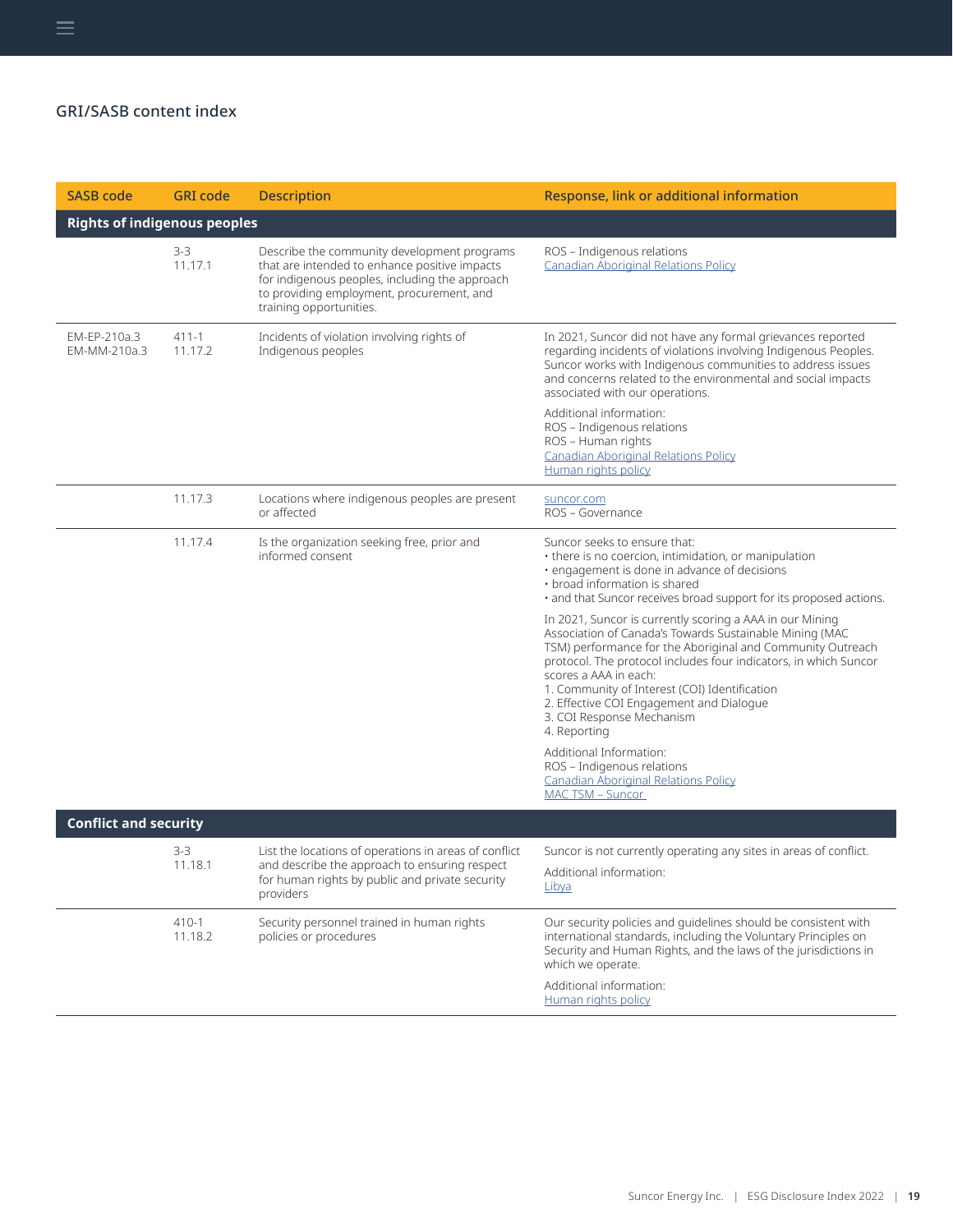| <b>SASB code</b>                    | <b>GRI</b> code  | <b>Description</b>                                                                                                                                                                                                     | Response, link or additional information                                                                                                                                                                                                                                                                                                                                                                                 |
|-------------------------------------|------------------|------------------------------------------------------------------------------------------------------------------------------------------------------------------------------------------------------------------------|--------------------------------------------------------------------------------------------------------------------------------------------------------------------------------------------------------------------------------------------------------------------------------------------------------------------------------------------------------------------------------------------------------------------------|
| <b>Rights of indigenous peoples</b> |                  |                                                                                                                                                                                                                        |                                                                                                                                                                                                                                                                                                                                                                                                                          |
|                                     | $3-3$<br>11.17.1 | Describe the community development programs<br>that are intended to enhance positive impacts<br>for indigenous peoples, including the approach<br>to providing employment, procurement, and<br>training opportunities. | ROS - Indigenous relations<br><b>Canadian Aboriginal Relations Policy</b>                                                                                                                                                                                                                                                                                                                                                |
| EM-EP-210a.3<br>EM-MM-210a.3        | 411-1<br>11.17.2 | Incidents of violation involving rights of<br>Indigenous peoples                                                                                                                                                       | In 2021, Suncor did not have any formal grievances reported<br>regarding incidents of violations involving Indigenous Peoples.<br>Suncor works with Indigenous communities to address issues<br>and concerns related to the environmental and social impacts<br>associated with our operations.                                                                                                                          |
|                                     |                  |                                                                                                                                                                                                                        | Additional information:<br>ROS - Indigenous relations<br>ROS - Human rights<br><b>Canadian Aboriginal Relations Policy</b><br>Human rights policy                                                                                                                                                                                                                                                                        |
|                                     | 11.17.3          | Locations where indigenous peoples are present<br>or affected                                                                                                                                                          | suncor.com<br>ROS - Governance                                                                                                                                                                                                                                                                                                                                                                                           |
|                                     | 11.17.4          | Is the organization seeking free, prior and<br>informed consent                                                                                                                                                        | Suncor seeks to ensure that:<br>• there is no coercion, intimidation, or manipulation<br>· engagement is done in advance of decisions<br>• broad information is shared<br>· and that Suncor receives broad support for its proposed actions.                                                                                                                                                                             |
|                                     |                  |                                                                                                                                                                                                                        | In 2021, Suncor is currently scoring a AAA in our Mining<br>Association of Canada's Towards Sustainable Mining (MAC<br>TSM) performance for the Aboriginal and Community Outreach<br>protocol. The protocol includes four indicators, in which Suncor<br>scores a AAA in each:<br>1. Community of Interest (COI) Identification<br>2. Effective COI Engagement and Dialogue<br>3. COI Response Mechanism<br>4. Reporting |
|                                     |                  |                                                                                                                                                                                                                        | Additional Information:<br>ROS - Indigenous relations<br><b>Canadian Aboriginal Relations Policy</b><br>MAC TSM - Suncor                                                                                                                                                                                                                                                                                                 |
| <b>Conflict and security</b>        |                  |                                                                                                                                                                                                                        |                                                                                                                                                                                                                                                                                                                                                                                                                          |
|                                     | $3-3$<br>11.18.1 | List the locations of operations in areas of conflict<br>and describe the approach to ensuring respect<br>for human rights by public and private security<br>providers                                                 | Suncor is not currently operating any sites in areas of conflict.<br>Additional information:<br><u>Libya</u>                                                                                                                                                                                                                                                                                                             |
|                                     | 410-1<br>11.18.2 | Security personnel trained in human rights<br>policies or procedures                                                                                                                                                   | Our security policies and guidelines should be consistent with<br>international standards, including the Voluntary Principles on<br>Security and Human Rights, and the laws of the jurisdictions in<br>which we operate.                                                                                                                                                                                                 |
|                                     |                  |                                                                                                                                                                                                                        | Additional information:<br>Human rights policy                                                                                                                                                                                                                                                                                                                                                                           |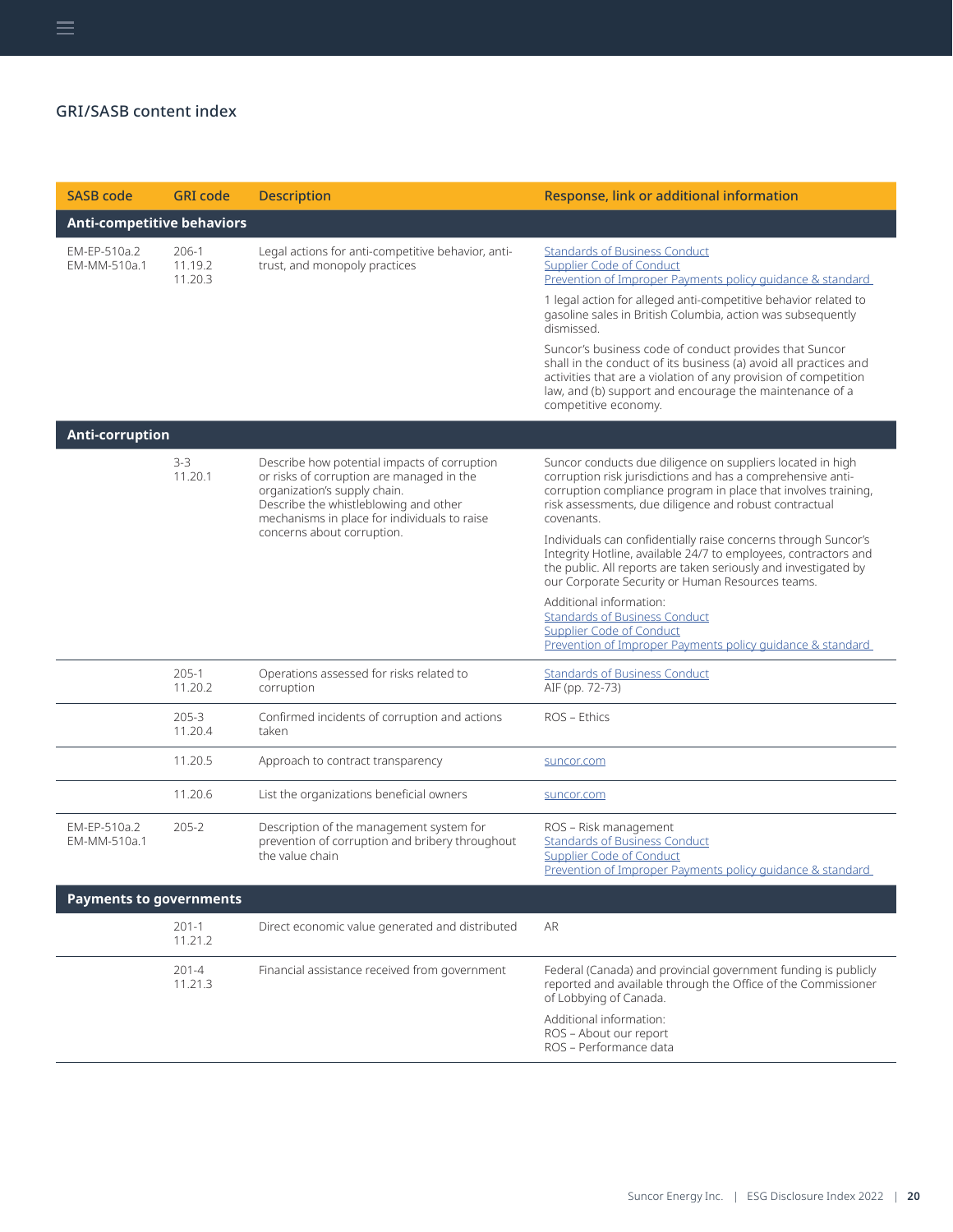| <b>SASB code</b>                  | <b>GRI</b> code             | <b>Description</b>                                                                                                                                                                                                 | Response, link or additional information                                                                                                                                                                                                                                         |
|-----------------------------------|-----------------------------|--------------------------------------------------------------------------------------------------------------------------------------------------------------------------------------------------------------------|----------------------------------------------------------------------------------------------------------------------------------------------------------------------------------------------------------------------------------------------------------------------------------|
| <b>Anti-competitive behaviors</b> |                             |                                                                                                                                                                                                                    |                                                                                                                                                                                                                                                                                  |
| EM-EP-510a.2<br>EM-MM-510a.1      | 206-1<br>11.19.2<br>11.20.3 | Legal actions for anti-competitive behavior, anti-<br>trust, and monopoly practices                                                                                                                                | <b>Standards of Business Conduct</b><br><b>Supplier Code of Conduct</b><br>Prevention of Improper Payments policy guidance & standard<br>1 legal action for alleged anti-competitive behavior related to                                                                         |
|                                   |                             |                                                                                                                                                                                                                    | gasoline sales in British Columbia, action was subsequently<br>dismissed.                                                                                                                                                                                                        |
|                                   |                             |                                                                                                                                                                                                                    | Suncor's business code of conduct provides that Suncor<br>shall in the conduct of its business (a) avoid all practices and<br>activities that are a violation of any provision of competition<br>law, and (b) support and encourage the maintenance of a<br>competitive economy. |
| Anti-corruption                   |                             |                                                                                                                                                                                                                    |                                                                                                                                                                                                                                                                                  |
|                                   | $3-3$<br>11.20.1            | Describe how potential impacts of corruption<br>or risks of corruption are managed in the<br>organization's supply chain.<br>Describe the whistleblowing and other<br>mechanisms in place for individuals to raise | Suncor conducts due diligence on suppliers located in high<br>corruption risk jurisdictions and has a comprehensive anti-<br>corruption compliance program in place that involves training,<br>risk assessments, due diligence and robust contractual<br>covenants.              |
|                                   |                             | concerns about corruption.                                                                                                                                                                                         | Individuals can confidentially raise concerns through Suncor's<br>Integrity Hotline, available 24/7 to employees, contractors and<br>the public. All reports are taken seriously and investigated by<br>our Corporate Security or Human Resources teams.                         |
|                                   |                             |                                                                                                                                                                                                                    | Additional information:<br><b>Standards of Business Conduct</b><br><b>Supplier Code of Conduct</b><br>Prevention of Improper Payments policy quidance & standard                                                                                                                 |
|                                   | $205-1$<br>11.20.2          | Operations assessed for risks related to<br>corruption                                                                                                                                                             | <b>Standards of Business Conduct</b><br>AIF (pp. 72-73)                                                                                                                                                                                                                          |
|                                   | $205 - 3$<br>11.20.4        | Confirmed incidents of corruption and actions<br>taken                                                                                                                                                             | ROS - Ethics                                                                                                                                                                                                                                                                     |
|                                   | 11.20.5                     | Approach to contract transparency                                                                                                                                                                                  | suncor.com                                                                                                                                                                                                                                                                       |
|                                   | 11.20.6                     | List the organizations beneficial owners                                                                                                                                                                           | suncor.com                                                                                                                                                                                                                                                                       |
| EM-EP-510a.2<br>EM-MM-510a.1      | $205 - 2$                   | Description of the management system for<br>prevention of corruption and bribery throughout<br>the value chain                                                                                                     | ROS - Risk management<br><b>Standards of Business Conduct</b><br><b>Supplier Code of Conduct</b><br>Prevention of Improper Payments policy guidance & standard                                                                                                                   |
| <b>Payments to governments</b>    |                             |                                                                                                                                                                                                                    |                                                                                                                                                                                                                                                                                  |
|                                   | $201 - 1$<br>11.21.2        | Direct economic value generated and distributed                                                                                                                                                                    | AR                                                                                                                                                                                                                                                                               |
|                                   | $201 - 4$<br>11.21.3        | Financial assistance received from government                                                                                                                                                                      | Federal (Canada) and provincial government funding is publicly<br>reported and available through the Office of the Commissioner<br>of Lobbying of Canada.                                                                                                                        |
|                                   |                             |                                                                                                                                                                                                                    | Additional information:<br>ROS - About our report<br>ROS - Performance data                                                                                                                                                                                                      |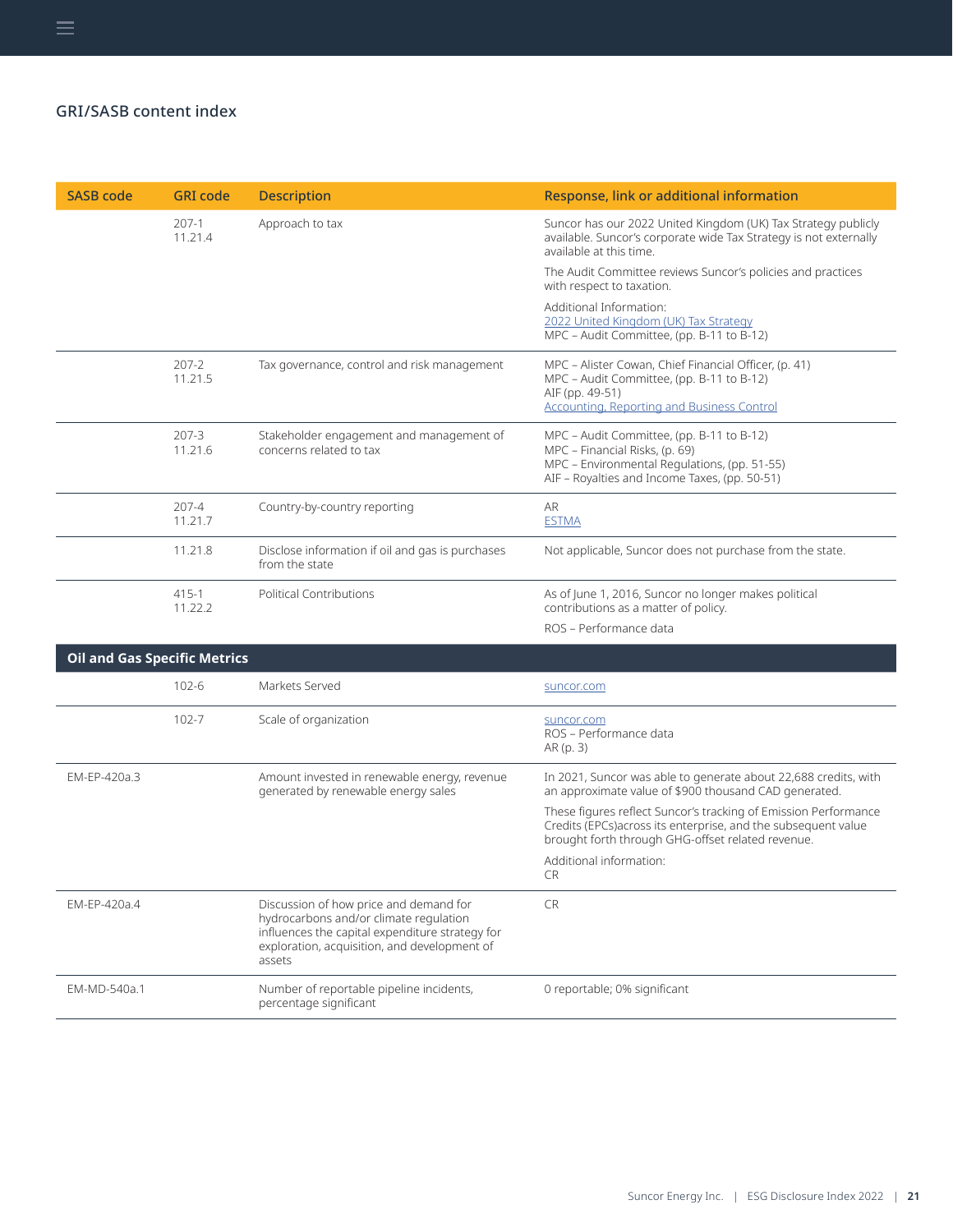| <b>SASB code</b> | <b>GRI</b> code      | <b>Description</b>                                                  | Response, link or additional information                                                                                                                                     |
|------------------|----------------------|---------------------------------------------------------------------|------------------------------------------------------------------------------------------------------------------------------------------------------------------------------|
|                  | $207-1$<br>11.21.4   | Approach to tax                                                     | Suncor has our 2022 United Kingdom (UK) Tax Strategy publicly<br>available. Suncor's corporate wide Tax Strategy is not externally<br>available at this time.                |
|                  |                      |                                                                     | The Audit Committee reviews Suncor's policies and practices<br>with respect to taxation.                                                                                     |
|                  |                      |                                                                     | Additional Information:<br>2022 United Kingdom (UK) Tax Strategy<br>MPC - Audit Committee, (pp. B-11 to B-12)                                                                |
|                  | $207 - 2$<br>11.21.5 | Tax governance, control and risk management                         | MPC - Alister Cowan, Chief Financial Officer, (p. 41)<br>MPC - Audit Committee, (pp. B-11 to B-12)<br>AIF (pp. 49-51)<br><b>Accounting, Reporting and Business Control</b>   |
|                  | $207 - 3$<br>11.21.6 | Stakeholder engagement and management of<br>concerns related to tax | MPC - Audit Committee, (pp. B-11 to B-12)<br>MPC - Financial Risks, (p. 69)<br>MPC - Environmental Regulations, (pp. 51-55)<br>AIF - Royalties and Income Taxes, (pp. 50-51) |
|                  | $207 - 4$<br>11.21.7 | Country-by-country reporting                                        | <b>AR</b><br><b>ESTMA</b>                                                                                                                                                    |
|                  | 11.21.8              | Disclose information if oil and gas is purchases<br>from the state  | Not applicable, Suncor does not purchase from the state.                                                                                                                     |
|                  | $415 - 1$<br>11.22.2 | <b>Political Contributions</b>                                      | As of June 1, 2016, Suncor no longer makes political<br>contributions as a matter of policy.                                                                                 |
|                  |                      |                                                                     | ROS - Performance data                                                                                                                                                       |

| <b>Oil and Gas Specific Metrics</b> |           |                                                                                                                                                                                               |                                                                                                                                                                                        |
|-------------------------------------|-----------|-----------------------------------------------------------------------------------------------------------------------------------------------------------------------------------------------|----------------------------------------------------------------------------------------------------------------------------------------------------------------------------------------|
|                                     | $102 - 6$ | Markets Served                                                                                                                                                                                | suncor.com                                                                                                                                                                             |
|                                     | $102 - 7$ | Scale of organization                                                                                                                                                                         | suncor.com<br>ROS – Performance data<br>AR (p. 3)                                                                                                                                      |
| EM-EP-420a.3                        |           | Amount invested in renewable energy, revenue<br>generated by renewable energy sales                                                                                                           | In 2021, Suncor was able to generate about 22,688 credits, with<br>an approximate value of \$900 thousand CAD generated.                                                               |
|                                     |           |                                                                                                                                                                                               | These figures reflect Suncor's tracking of Emission Performance<br>Credits (EPCs) across its enterprise, and the subsequent value<br>brought forth through GHG-offset related revenue. |
|                                     |           |                                                                                                                                                                                               | Additional information:<br>CR.                                                                                                                                                         |
| FM-FP-420a.4                        |           | Discussion of how price and demand for<br>hydrocarbons and/or climate regulation<br>influences the capital expenditure strategy for<br>exploration, acquisition, and development of<br>assets | <b>CR</b>                                                                                                                                                                              |
| EM-MD-540a.1                        |           | Number of reportable pipeline incidents,<br>percentage significant                                                                                                                            | 0 reportable; 0% significant                                                                                                                                                           |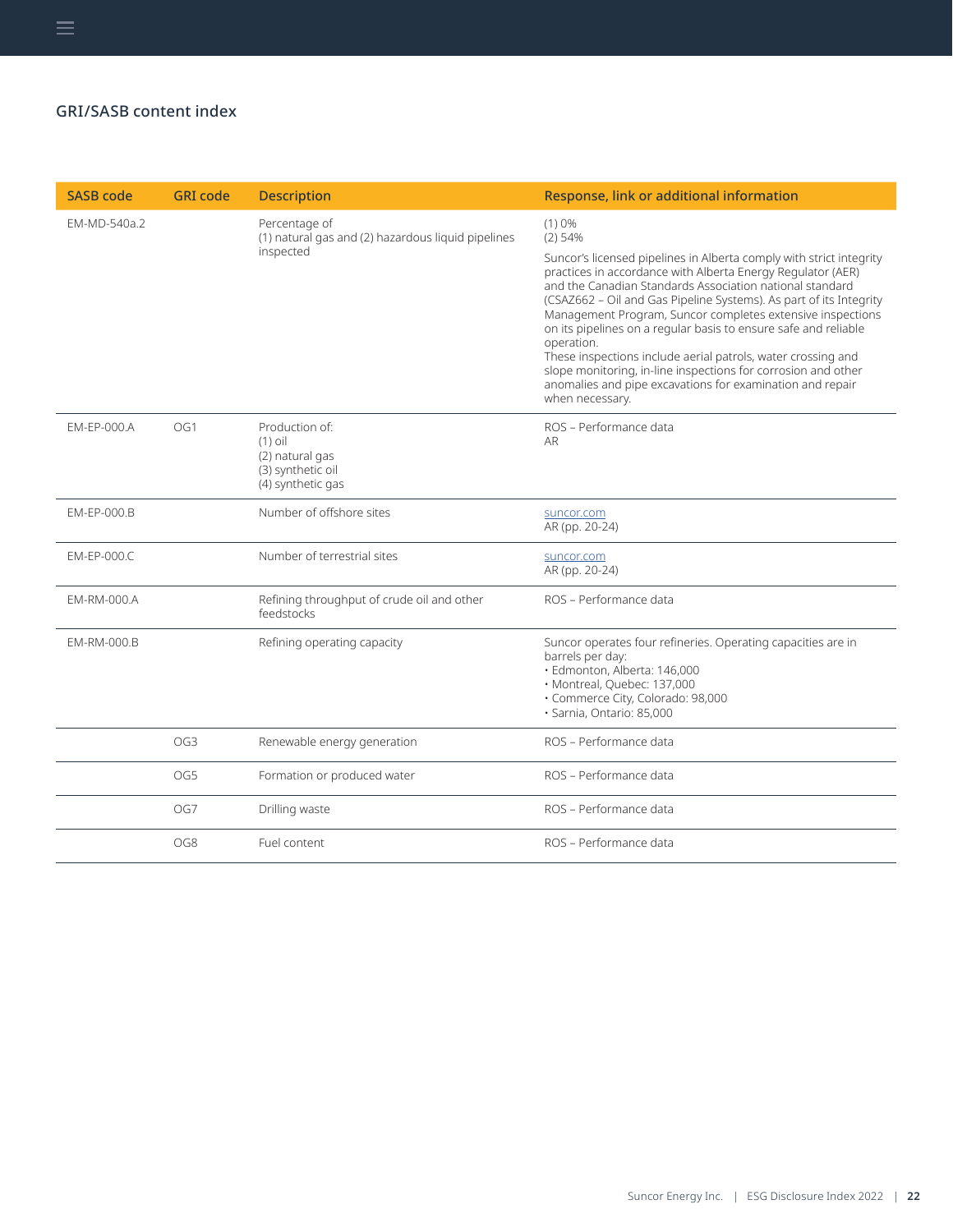| <b>SASB code</b> | <b>GRI</b> code | <b>Description</b>                                                                       | Response, link or additional information                                                                                                                                                                                                                                                                                                                                                                                                                                                                                                                                                                                                                   |
|------------------|-----------------|------------------------------------------------------------------------------------------|------------------------------------------------------------------------------------------------------------------------------------------------------------------------------------------------------------------------------------------------------------------------------------------------------------------------------------------------------------------------------------------------------------------------------------------------------------------------------------------------------------------------------------------------------------------------------------------------------------------------------------------------------------|
| EM-MD-540a.2     |                 | Percentage of<br>(1) natural gas and (2) hazardous liquid pipelines<br>inspected         | (1)0%<br>$(2)$ 54%<br>Suncor's licensed pipelines in Alberta comply with strict integrity<br>practices in accordance with Alberta Energy Regulator (AER)<br>and the Canadian Standards Association national standard<br>(CSAZ662 - Oil and Gas Pipeline Systems). As part of its Integrity<br>Management Program, Suncor completes extensive inspections<br>on its pipelines on a regular basis to ensure safe and reliable<br>operation.<br>These inspections include aerial patrols, water crossing and<br>slope monitoring, in-line inspections for corrosion and other<br>anomalies and pipe excavations for examination and repair<br>when necessary. |
| EM-EP-000.A      | OG1             | Production of:<br>$(1)$ oil<br>(2) natural gas<br>(3) synthetic oil<br>(4) synthetic gas | ROS - Performance data<br>AR.                                                                                                                                                                                                                                                                                                                                                                                                                                                                                                                                                                                                                              |
| EM-EP-000.B      |                 | Number of offshore sites                                                                 | suncor.com<br>AR (pp. 20-24)                                                                                                                                                                                                                                                                                                                                                                                                                                                                                                                                                                                                                               |
| EM-EP-000.C      |                 | Number of terrestrial sites                                                              | suncor.com<br>AR (pp. 20-24)                                                                                                                                                                                                                                                                                                                                                                                                                                                                                                                                                                                                                               |
| EM-RM-000.A      |                 | Refining throughput of crude oil and other<br>feedstocks                                 | ROS - Performance data                                                                                                                                                                                                                                                                                                                                                                                                                                                                                                                                                                                                                                     |
| EM-RM-000.B      |                 | Refining operating capacity                                                              | Suncor operates four refineries. Operating capacities are in<br>barrels per day:<br>· Edmonton, Alberta: 146,000<br>· Montreal, Quebec: 137,000<br>· Commerce City, Colorado: 98,000<br>· Sarnia, Ontario: 85,000                                                                                                                                                                                                                                                                                                                                                                                                                                          |
|                  | OG <sub>3</sub> | Renewable energy generation                                                              | ROS - Performance data                                                                                                                                                                                                                                                                                                                                                                                                                                                                                                                                                                                                                                     |
|                  | OG5             | Formation or produced water                                                              | ROS - Performance data                                                                                                                                                                                                                                                                                                                                                                                                                                                                                                                                                                                                                                     |
|                  | OG7             | Drilling waste                                                                           | ROS - Performance data                                                                                                                                                                                                                                                                                                                                                                                                                                                                                                                                                                                                                                     |
|                  | OG8             | Fuel content                                                                             | ROS - Performance data                                                                                                                                                                                                                                                                                                                                                                                                                                                                                                                                                                                                                                     |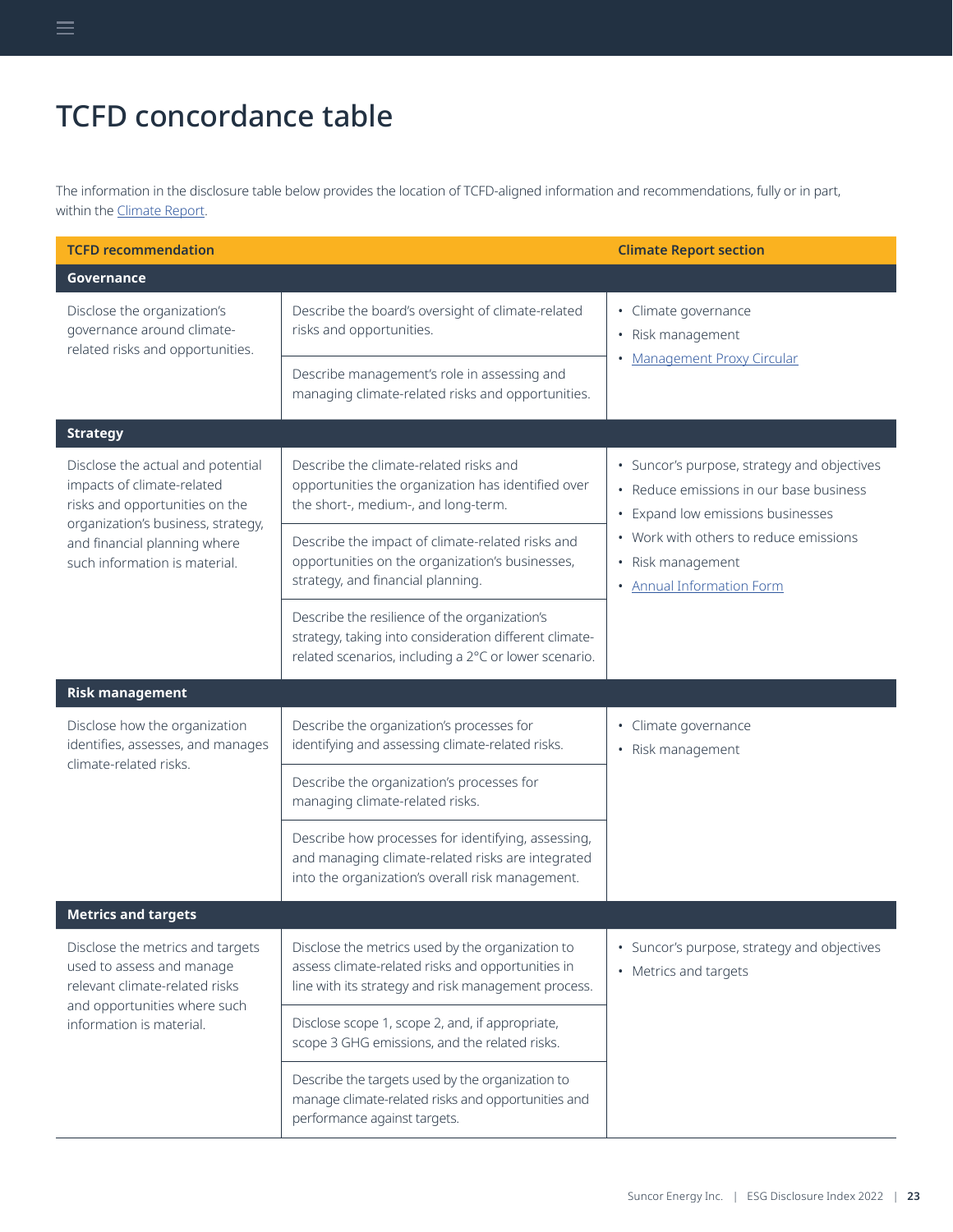# TCFD concordance table

<span id="page-22-0"></span> $\equiv$ 

The information in the disclosure table below provides the location of TCFD-aligned information and recommendations, fully or in part, within the [Climate Report](https://www.suncor.com/-/media/147BC3DF3E98469895D6C6D3081E13C6.pdf).

| <b>TCFD recommendation</b>                                                                                                              |                                                                                                                                                                  | <b>Climate Report section</b>                                                                                               |  |
|-----------------------------------------------------------------------------------------------------------------------------------------|------------------------------------------------------------------------------------------------------------------------------------------------------------------|-----------------------------------------------------------------------------------------------------------------------------|--|
| Governance                                                                                                                              |                                                                                                                                                                  |                                                                                                                             |  |
| Disclose the organization's<br>governance around climate-<br>related risks and opportunities.                                           | Describe the board's oversight of climate-related<br>risks and opportunities.                                                                                    | • Climate governance<br>• Risk management                                                                                   |  |
|                                                                                                                                         | Describe management's role in assessing and<br>managing climate-related risks and opportunities.                                                                 | <b>Management Proxy Circular</b>                                                                                            |  |
| <b>Strategy</b>                                                                                                                         |                                                                                                                                                                  |                                                                                                                             |  |
| Disclose the actual and potential<br>impacts of climate-related<br>risks and opportunities on the<br>organization's business, strategy, | Describe the climate-related risks and<br>opportunities the organization has identified over<br>the short-, medium-, and long-term.                              | • Suncor's purpose, strategy and objectives<br>• Reduce emissions in our base business<br>• Expand low emissions businesses |  |
| and financial planning where<br>such information is material.                                                                           | Describe the impact of climate-related risks and<br>opportunities on the organization's businesses,<br>strategy, and financial planning.                         | • Work with others to reduce emissions<br>• Risk management<br>• Annual Information Form                                    |  |
|                                                                                                                                         | Describe the resilience of the organization's<br>strategy, taking into consideration different climate-<br>related scenarios, including a 2°C or lower scenario. |                                                                                                                             |  |
| <b>Risk management</b>                                                                                                                  |                                                                                                                                                                  |                                                                                                                             |  |
| Disclose how the organization<br>identifies, assesses, and manages<br>climate-related risks.                                            | Describe the organization's processes for<br>identifying and assessing climate-related risks.                                                                    | • Climate governance<br>• Risk management                                                                                   |  |
|                                                                                                                                         | Describe the organization's processes for<br>managing climate-related risks.                                                                                     |                                                                                                                             |  |
|                                                                                                                                         | Describe how processes for identifying, assessing,<br>and managing climate-related risks are integrated<br>into the organization's overall risk management.      |                                                                                                                             |  |
| <b>Metrics and targets</b>                                                                                                              |                                                                                                                                                                  |                                                                                                                             |  |
| Disclose the metrics and targets<br>used to assess and manage<br>relevant climate-related risks<br>and opportunities where such         | Disclose the metrics used by the organization to<br>assess climate-related risks and opportunities in<br>line with its strategy and risk management process.     | • Suncor's purpose, strategy and objectives<br>• Metrics and targets                                                        |  |
| information is material.                                                                                                                | Disclose scope 1, scope 2, and, if appropriate,<br>scope 3 GHG emissions, and the related risks.                                                                 |                                                                                                                             |  |
|                                                                                                                                         | Describe the targets used by the organization to<br>manage climate-related risks and opportunities and<br>performance against targets.                           |                                                                                                                             |  |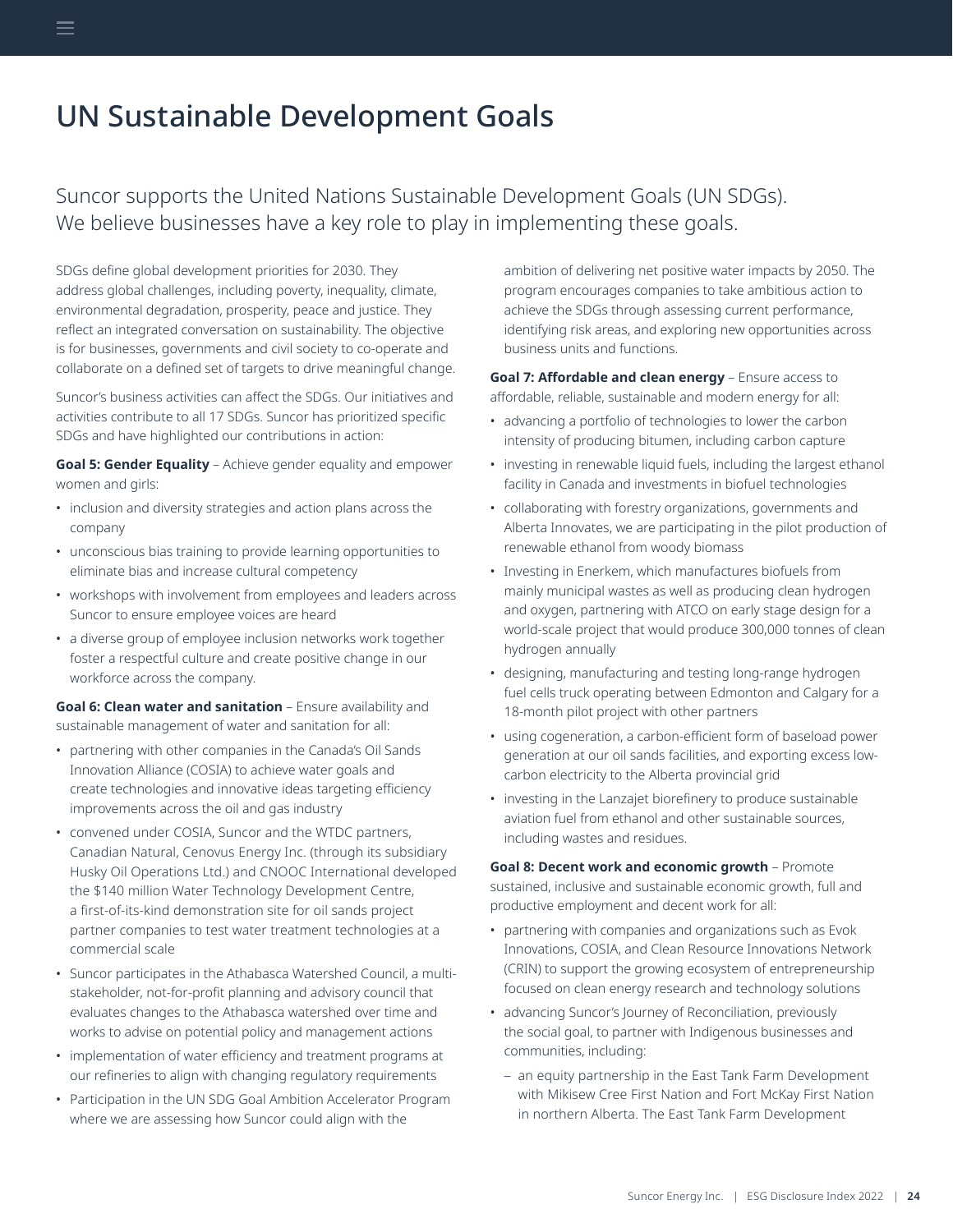# <span id="page-23-0"></span>UN Sustainable Development Goals

Suncor supports the United Nations Sustainable Development Goals (UN SDGs). We believe businesses have a key role to play in implementing these goals.

SDGs define global development priorities for 2030. They address global challenges, including poverty, inequality, climate, environmental degradation, prosperity, peace and justice. They reflect an integrated conversation on sustainability. The objective is for businesses, governments and civil society to co-operate and collaborate on a defined set of targets to drive meaningful change.

Suncor's business activities can affect the SDGs. Our initiatives and activities contribute to all 17 SDGs. Suncor has prioritized specific SDGs and have highlighted our contributions in action:

**Goal 5: Gender Equality** – Achieve gender equality and empower women and girls:

- inclusion and diversity strategies and action plans across the company
- unconscious bias training to provide learning opportunities to eliminate bias and increase cultural competency
- workshops with involvement from employees and leaders across Suncor to ensure employee voices are heard
- a diverse group of employee inclusion networks work together foster a respectful culture and create positive change in our workforce across the company.

**Goal 6: Clean water and sanitation** – Ensure availability and sustainable management of water and sanitation for all:

- partnering with other companies in the Canada's Oil Sands Innovation Alliance (COSIA) to achieve water goals and create technologies and innovative ideas targeting efficiency improvements across the oil and gas industry
- convened under COSIA, Suncor and the WTDC partners, Canadian Natural, Cenovus Energy Inc. (through its subsidiary Husky Oil Operations Ltd.) and CNOOC International developed the \$140 million Water Technology Development Centre, a first-of-its-kind demonstration site for oil sands project partner companies to test water treatment technologies at a commercial scale
- Suncor participates in the Athabasca Watershed Council, a multistakeholder, not-for-profit planning and advisory council that evaluates changes to the Athabasca watershed over time and works to advise on potential policy and management actions
- implementation of water efficiency and treatment programs at our refineries to align with changing regulatory requirements
- Participation in the UN SDG Goal Ambition Accelerator Program where we are assessing how Suncor could align with the

ambition of delivering net positive water impacts by 2050. The program encourages companies to take ambitious action to achieve the SDGs through assessing current performance, identifying risk areas, and exploring new opportunities across business units and functions.

**Goal 7: Affordable and clean energy** – Ensure access to affordable, reliable, sustainable and modern energy for all:

- advancing a portfolio of technologies to lower the carbon intensity of producing bitumen, including carbon capture
- investing in renewable liquid fuels, including the largest ethanol facility in Canada and investments in biofuel technologies
- collaborating with forestry organizations, governments and Alberta Innovates, we are participating in the pilot production of renewable ethanol from woody biomass
- Investing in Enerkem, which manufactures biofuels from mainly municipal wastes as well as producing clean hydrogen and oxygen, partnering with ATCO on early stage design for a world-scale project that would produce 300,000 tonnes of clean hydrogen annually
- designing, manufacturing and testing long-range hydrogen fuel cells truck operating between Edmonton and Calgary for a 18-month pilot project with other partners
- using cogeneration, a carbon-efficient form of baseload power generation at our oil sands facilities, and exporting excess lowcarbon electricity to the Alberta provincial grid
- investing in the Lanzajet biorefinery to produce sustainable aviation fuel from ethanol and other sustainable sources, including wastes and residues.

**Goal 8: Decent work and economic growth** – Promote sustained, inclusive and sustainable economic growth, full and productive employment and decent work for all:

- partnering with companies and organizations such as Evok Innovations, COSIA, and Clean Resource Innovations Network (CRIN) to support the growing ecosystem of entrepreneurship focused on clean energy research and technology solutions
- advancing Suncor's Journey of Reconciliation, previously the social goal, to partner with Indigenous businesses and communities, including:
	- an equity partnership in the East Tank Farm Development with Mikisew Cree First Nation and Fort McKay First Nation in northern Alberta. The East Tank Farm Development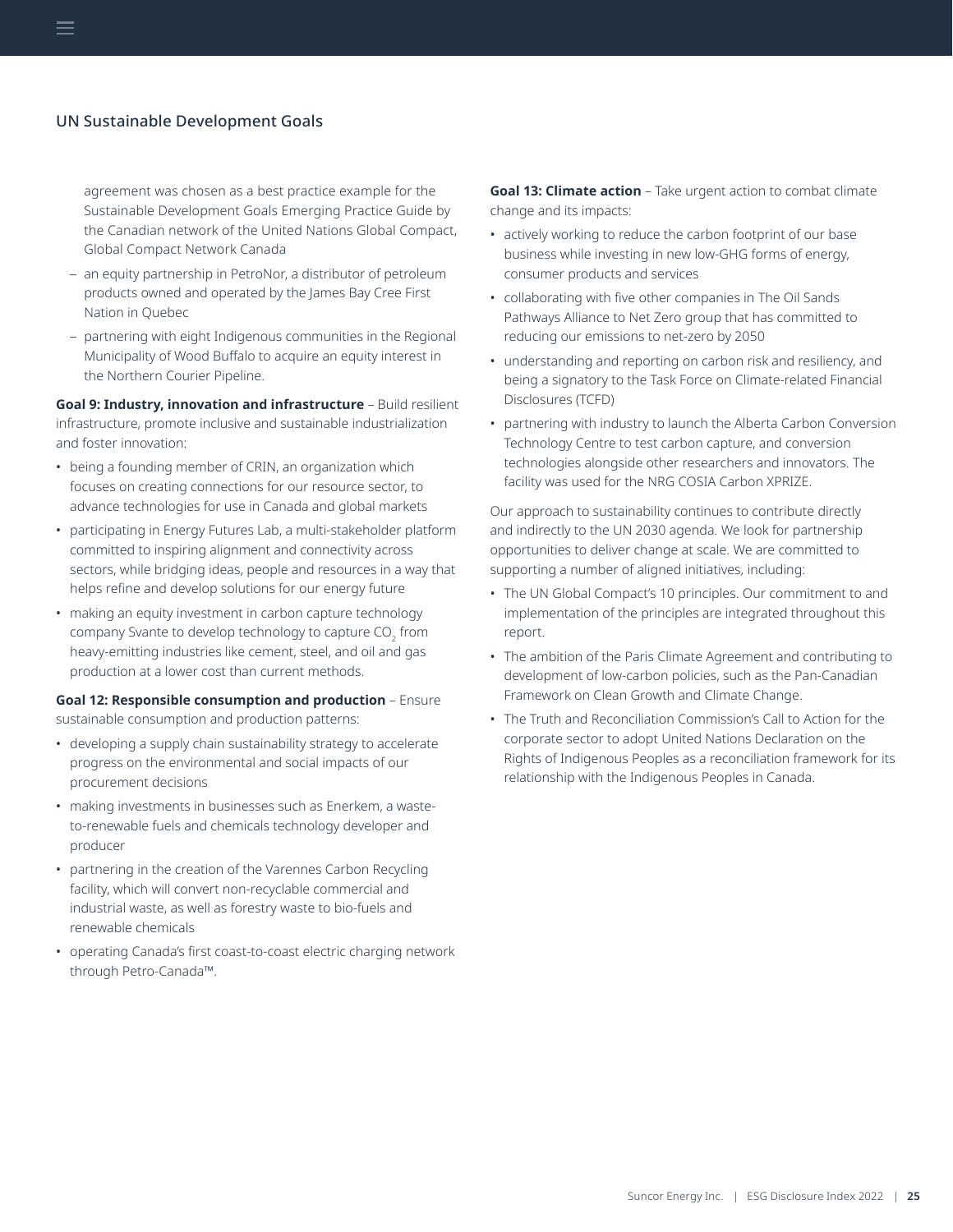#### UN Sustainable Development Goals

agreement was chosen as a best practice example for the Sustainable Development Goals Emerging Practice Guide by the Canadian network of the United Nations Global Compact, Global Compact Network Canada

- an equity partnership in PetroNor, a distributor of petroleum products owned and operated by the James Bay Cree First Nation in Quebec
- partnering with eight Indigenous communities in the Regional Municipality of Wood Buffalo to acquire an equity interest in the Northern Courier Pipeline.

**Goal 9: Industry, innovation and infrastructure** - Build resilient infrastructure, promote inclusive and sustainable industrialization and foster innovation:

- being a founding member of CRIN, an organization which focuses on creating connections for our resource sector, to advance technologies for use in Canada and global markets
- participating in Energy Futures Lab, a multi-stakeholder platform committed to inspiring alignment and connectivity across sectors, while bridging ideas, people and resources in a way that helps refine and develop solutions for our energy future
- making an equity investment in carbon capture technology company Svante to develop technology to capture CO $_{\textrm{\tiny{\it 2}}}$  from heavy-emitting industries like cement, steel, and oil and gas production at a lower cost than current methods.

#### **Goal 12: Responsible consumption and production** – Ensure sustainable consumption and production patterns:

- developing a supply chain sustainability strategy to accelerate progress on the environmental and social impacts of our procurement decisions
- making investments in businesses such as Enerkem, a wasteto-renewable fuels and chemicals technology developer and producer
- partnering in the creation of the Varennes Carbon Recycling facility, which will convert non-recyclable commercial and industrial waste, as well as forestry waste to bio-fuels and renewable chemicals
- operating Canada's first coast-to-coast electric charging network through Petro-Canada™.

**Goal 13: Climate action** – Take urgent action to combat climate change and its impacts:

- actively working to reduce the carbon footprint of our base business while investing in new low-GHG forms of energy, consumer products and services
- collaborating with five other companies in The Oil Sands Pathways Alliance to Net Zero group that has committed to reducing our emissions to net-zero by 2050
- understanding and reporting on carbon risk and resiliency, and being a signatory to the Task Force on Climate-related Financial Disclosures (TCFD)
- partnering with industry to launch the Alberta Carbon Conversion Technology Centre to test carbon capture, and conversion technologies alongside other researchers and innovators. The facility was used for the NRG COSIA Carbon XPRIZE.

Our approach to sustainability continues to contribute directly and indirectly to the UN 2030 agenda. We look for partnership opportunities to deliver change at scale. We are committed to supporting a number of aligned initiatives, including:

- The UN Global Compact's 10 principles. Our commitment to and implementation of the principles are integrated throughout this report.
- The ambition of the Paris Climate Agreement and contributing to development of low-carbon policies, such as the Pan-Canadian Framework on Clean Growth and Climate Change.
- The Truth and Reconciliation Commission's Call to Action for the corporate sector to adopt United Nations Declaration on the Rights of Indigenous Peoples as a reconciliation framework for its relationship with the Indigenous Peoples in Canada.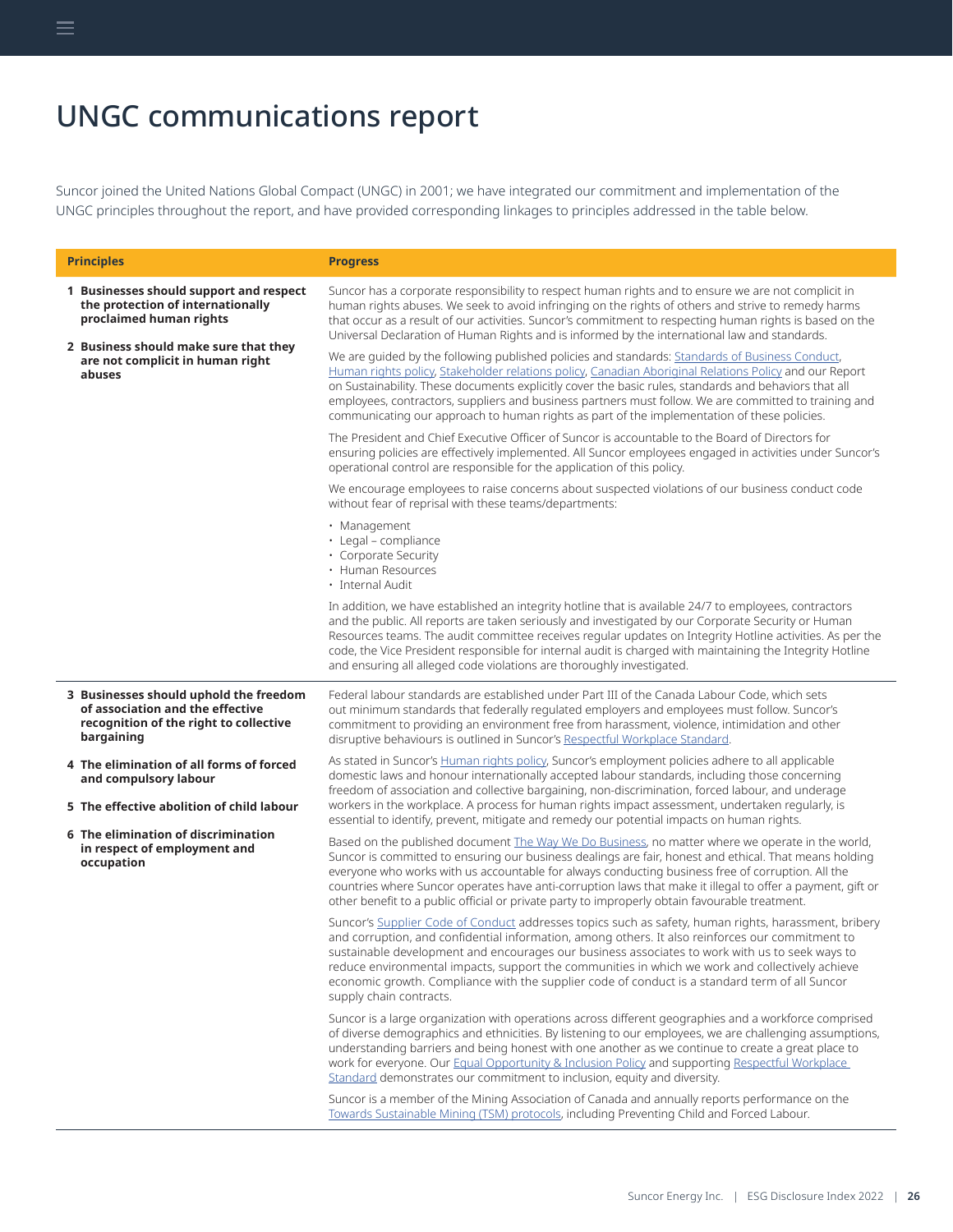# <span id="page-25-0"></span>UNGC communications report

Suncor joined the United Nations Global Compact (UNGC) in 2001; we have integrated our commitment and implementation of the UNGC principles throughout the report, and have provided corresponding linkages to principles addressed in the table below.

| <b>Principles</b>                                                                                                                  | <b>Progress</b>                                                                                                                                                                                                                                                                                                                                                                                                                                                                                                                            |
|------------------------------------------------------------------------------------------------------------------------------------|--------------------------------------------------------------------------------------------------------------------------------------------------------------------------------------------------------------------------------------------------------------------------------------------------------------------------------------------------------------------------------------------------------------------------------------------------------------------------------------------------------------------------------------------|
| 1 Businesses should support and respect<br>the protection of internationally<br>proclaimed human rights                            | Suncor has a corporate responsibility to respect human rights and to ensure we are not complicit in<br>human rights abuses. We seek to avoid infringing on the rights of others and strive to remedy harms<br>that occur as a result of our activities. Suncor's commitment to respecting human rights is based on the<br>Universal Declaration of Human Rights and is informed by the international law and standards.                                                                                                                    |
| 2 Business should make sure that they<br>are not complicit in human right<br>abuses                                                | We are quided by the following published policies and standards: Standards of Business Conduct,<br>Human rights policy, Stakeholder relations policy, Canadian Aboriginal Relations Policy and our Report<br>on Sustainability. These documents explicitly cover the basic rules, standards and behaviors that all<br>employees, contractors, suppliers and business partners must follow. We are committed to training and<br>communicating our approach to human rights as part of the implementation of these policies.                 |
|                                                                                                                                    | The President and Chief Executive Officer of Suncor is accountable to the Board of Directors for<br>ensuring policies are effectively implemented. All Suncor employees engaged in activities under Suncor's<br>operational control are responsible for the application of this policy.                                                                                                                                                                                                                                                    |
|                                                                                                                                    | We encourage employees to raise concerns about suspected violations of our business conduct code<br>without fear of reprisal with these teams/departments:                                                                                                                                                                                                                                                                                                                                                                                 |
|                                                                                                                                    | • Management<br>· Legal - compliance<br>• Corporate Security<br>• Human Resources<br>· Internal Audit                                                                                                                                                                                                                                                                                                                                                                                                                                      |
|                                                                                                                                    | In addition, we have established an integrity hotline that is available 24/7 to employees, contractors<br>and the public. All reports are taken seriously and investigated by our Corporate Security or Human<br>Resources teams. The audit committee receives regular updates on Integrity Hotline activities. As per the<br>code, the Vice President responsible for internal audit is charged with maintaining the Integrity Hotline<br>and ensuring all alleged code violations are thoroughly investigated.                           |
| 3 Businesses should uphold the freedom<br>of association and the effective<br>recognition of the right to collective<br>bargaining | Federal labour standards are established under Part III of the Canada Labour Code, which sets<br>out minimum standards that federally regulated employers and employees must follow. Suncor's<br>commitment to providing an environment free from harassment, violence, intimidation and other<br>disruptive behaviours is outlined in Suncor's Respectful Workplace Standard.                                                                                                                                                             |
| 4 The elimination of all forms of forced<br>and compulsory labour<br>5 The effective abolition of child labour                     | As stated in Suncor's Human rights policy, Suncor's employment policies adhere to all applicable<br>domestic laws and honour internationally accepted labour standards, including those concerning<br>freedom of association and collective bargaining, non-discrimination, forced labour, and underage<br>workers in the workplace. A process for human rights impact assessment, undertaken regularly, is<br>essential to identify, prevent, mitigate and remedy our potential impacts on human rights.                                  |
| 6 The elimination of discrimination<br>in respect of employment and<br>occupation                                                  | Based on the published document The Way We Do Business, no matter where we operate in the world,<br>Suncor is committed to ensuring our business dealings are fair, honest and ethical. That means holding<br>everyone who works with us accountable for always conducting business free of corruption. All the<br>countries where Suncor operates have anti-corruption laws that make it illegal to offer a payment, gift or<br>other benefit to a public official or private party to improperly obtain favourable treatment.            |
|                                                                                                                                    | Suncor's Supplier Code of Conduct addresses topics such as safety, human rights, harassment, bribery<br>and corruption, and confidential information, among others. It also reinforces our commitment to<br>sustainable development and encourages our business associates to work with us to seek ways to<br>reduce environmental impacts, support the communities in which we work and collectively achieve<br>economic growth. Compliance with the supplier code of conduct is a standard term of all Suncor<br>supply chain contracts. |
|                                                                                                                                    | Suncor is a large organization with operations across different geographies and a workforce comprised<br>of diverse demographics and ethnicities. By listening to our employees, we are challenging assumptions,<br>understanding barriers and being honest with one another as we continue to create a great place to<br>work for everyone. Our Equal Opportunity & Inclusion Policy and supporting Respectful Workplace<br>Standard demonstrates our commitment to inclusion, equity and diversity.                                      |
|                                                                                                                                    | Suncor is a member of the Mining Association of Canada and annually reports performance on the<br>Towards Sustainable Mining (TSM) protocols, including Preventing Child and Forced Labour.                                                                                                                                                                                                                                                                                                                                                |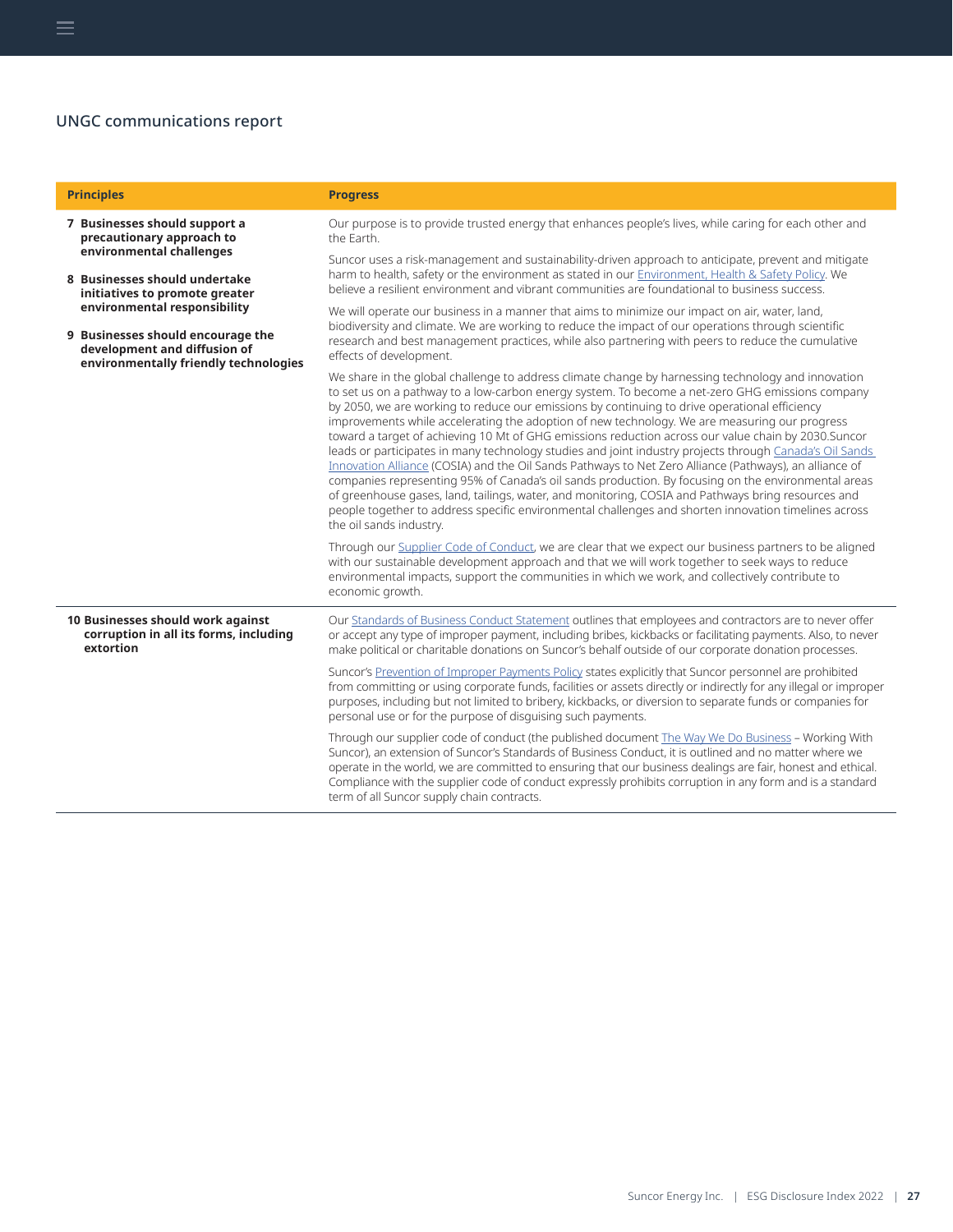# UNGC communications report

| <b>Principles</b>                                                                                                                                                                                                                                                                                       | <b>Progress</b>                                                                                                                                                                                                                                                                                                                                                                                                                                                                                                                                                                                                                                                                                                                                                                                                                                                                                                                                                                                                                                                                       |
|---------------------------------------------------------------------------------------------------------------------------------------------------------------------------------------------------------------------------------------------------------------------------------------------------------|---------------------------------------------------------------------------------------------------------------------------------------------------------------------------------------------------------------------------------------------------------------------------------------------------------------------------------------------------------------------------------------------------------------------------------------------------------------------------------------------------------------------------------------------------------------------------------------------------------------------------------------------------------------------------------------------------------------------------------------------------------------------------------------------------------------------------------------------------------------------------------------------------------------------------------------------------------------------------------------------------------------------------------------------------------------------------------------|
| 7 Businesses should support a<br>precautionary approach to<br>environmental challenges<br>8 Businesses should undertake<br>initiatives to promote greater<br>environmental responsibility<br>9 Businesses should encourage the<br>development and diffusion of<br>environmentally friendly technologies | Our purpose is to provide trusted energy that enhances people's lives, while caring for each other and<br>the Earth.                                                                                                                                                                                                                                                                                                                                                                                                                                                                                                                                                                                                                                                                                                                                                                                                                                                                                                                                                                  |
|                                                                                                                                                                                                                                                                                                         | Suncor uses a risk-management and sustainability-driven approach to anticipate, prevent and mitigate<br>harm to health, safety or the environment as stated in our Environment, Health & Safety Policy. We<br>believe a resilient environment and vibrant communities are foundational to business success.                                                                                                                                                                                                                                                                                                                                                                                                                                                                                                                                                                                                                                                                                                                                                                           |
|                                                                                                                                                                                                                                                                                                         | We will operate our business in a manner that aims to minimize our impact on air, water, land,<br>biodiversity and climate. We are working to reduce the impact of our operations through scientific<br>research and best management practices, while also partnering with peers to reduce the cumulative<br>effects of development.                                                                                                                                                                                                                                                                                                                                                                                                                                                                                                                                                                                                                                                                                                                                                  |
|                                                                                                                                                                                                                                                                                                         | We share in the global challenge to address climate change by harnessing technology and innovation<br>to set us on a pathway to a low-carbon energy system. To become a net-zero GHG emissions company<br>by 2050, we are working to reduce our emissions by continuing to drive operational efficiency<br>improvements while accelerating the adoption of new technology. We are measuring our progress<br>toward a target of achieving 10 Mt of GHG emissions reduction across our value chain by 2030. Suncor<br>leads or participates in many technology studies and joint industry projects through Canada's Oil Sands<br>Innovation Alliance (COSIA) and the Oil Sands Pathways to Net Zero Alliance (Pathways), an alliance of<br>companies representing 95% of Canada's oil sands production. By focusing on the environmental areas<br>of greenhouse gases, land, tailings, water, and monitoring, COSIA and Pathways bring resources and<br>people together to address specific environmental challenges and shorten innovation timelines across<br>the oil sands industry. |
|                                                                                                                                                                                                                                                                                                         | Through our Supplier Code of Conduct, we are clear that we expect our business partners to be aligned<br>with our sustainable development approach and that we will work together to seek ways to reduce<br>environmental impacts, support the communities in which we work, and collectively contribute to<br>economic growth.                                                                                                                                                                                                                                                                                                                                                                                                                                                                                                                                                                                                                                                                                                                                                       |
| 10 Businesses should work against<br>corruption in all its forms, including<br>extortion                                                                                                                                                                                                                | Our Standards of Business Conduct Statement outlines that employees and contractors are to never offer<br>or accept any type of improper payment, including bribes, kickbacks or facilitating payments. Also, to never<br>make political or charitable donations on Suncor's behalf outside of our corporate donation processes.                                                                                                                                                                                                                                                                                                                                                                                                                                                                                                                                                                                                                                                                                                                                                      |
|                                                                                                                                                                                                                                                                                                         | Suncor's Prevention of Improper Payments Policy states explicitly that Suncor personnel are prohibited<br>from committing or using corporate funds, facilities or assets directly or indirectly for any illegal or improper<br>purposes, including but not limited to bribery, kickbacks, or diversion to separate funds or companies for<br>personal use or for the purpose of disquising such payments.                                                                                                                                                                                                                                                                                                                                                                                                                                                                                                                                                                                                                                                                             |
|                                                                                                                                                                                                                                                                                                         | Through our supplier code of conduct (the published document The Way We Do Business - Working With<br>Suncor), an extension of Suncor's Standards of Business Conduct, it is outlined and no matter where we<br>operate in the world, we are committed to ensuring that our business dealings are fair, honest and ethical.<br>Compliance with the supplier code of conduct expressly prohibits corruption in any form and is a standard<br>term of all Suncor supply chain contracts.                                                                                                                                                                                                                                                                                                                                                                                                                                                                                                                                                                                                |